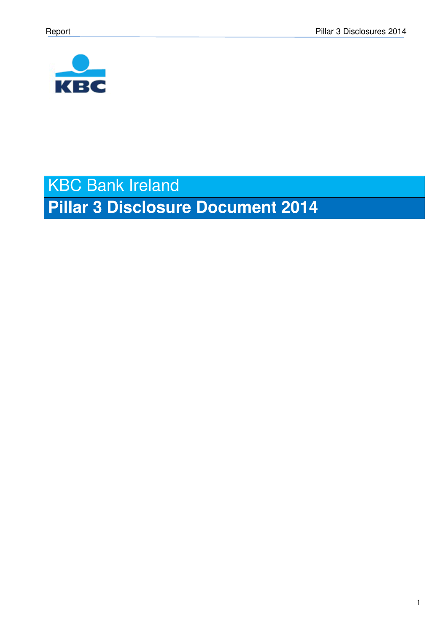

# KBC Bank Ireland **Pillar 3 Disclosure Document 2014**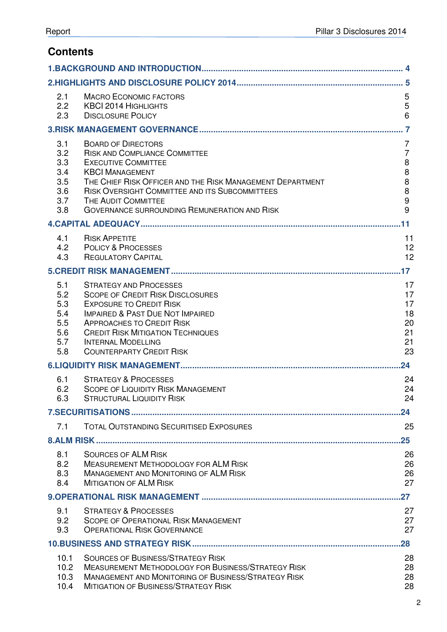# **Contents**

| 2.1<br>2.2<br>2.3                                    | <b>MACRO ECONOMIC FACTORS</b><br><b>KBCI 2014 HIGHLIGHTS</b><br><b>DISCLOSURE POLICY</b>                                                                                                                                                                                                                               | 5<br>5<br>$6\phantom{1}$                                                                              |
|------------------------------------------------------|------------------------------------------------------------------------------------------------------------------------------------------------------------------------------------------------------------------------------------------------------------------------------------------------------------------------|-------------------------------------------------------------------------------------------------------|
|                                                      |                                                                                                                                                                                                                                                                                                                        |                                                                                                       |
| 3.1<br>3.2<br>3.3<br>3.4<br>3.5<br>3.6<br>3.7<br>3.8 | <b>BOARD OF DIRECTORS</b><br><b>RISK AND COMPLIANCE COMMITTEE</b><br><b>EXECUTIVE COMMITTEE</b><br><b>KBCI MANAGEMENT</b><br>THE CHIEF RISK OFFICER AND THE RISK MANAGEMENT DEPARTMENT<br>RISK OVERSIGHT COMMITTEE AND ITS SUBCOMMITTEES<br>THE AUDIT COMMITTEE<br><b>GOVERNANCE SURROUNDING REMUNERATION AND RISK</b> | $\overline{7}$<br>$\overline{7}$<br>$\,8\,$<br>$\bf 8$<br>$\bf 8$<br>$\bf 8$<br>$\boldsymbol{9}$<br>9 |
|                                                      |                                                                                                                                                                                                                                                                                                                        | .11                                                                                                   |
| 4.1<br>4.2<br>4.3                                    | <b>RISK APPETITE</b><br><b>POLICY &amp; PROCESSES</b><br><b>REGULATORY CAPITAL</b>                                                                                                                                                                                                                                     | 11<br>12<br>12                                                                                        |
|                                                      |                                                                                                                                                                                                                                                                                                                        | .17                                                                                                   |
| 5.1<br>5.2<br>5.3<br>5.4<br>5.5<br>5.6<br>5.7<br>5.8 | <b>STRATEGY AND PROCESSES</b><br><b>SCOPE OF CREDIT RISK DISCLOSURES</b><br><b>EXPOSURE TO CREDIT RISK</b><br><b>IMPAIRED &amp; PAST DUE NOT IMPAIRED</b><br><b>APPROACHES TO CREDIT RISK</b><br><b>CREDIT RISK MITIGATION TECHNIQUES</b><br><b>INTERNAL MODELLING</b><br><b>COUNTERPARTY CREDIT RISK</b>              | 17<br>17<br>17<br>18<br>20<br>21<br>21<br>23                                                          |
|                                                      |                                                                                                                                                                                                                                                                                                                        | 24                                                                                                    |
| 6.1<br>6.2<br>6.3                                    | <b>STRATEGY &amp; PROCESSES</b><br><b>SCOPE OF LIQUIDITY RISK MANAGEMENT</b><br><b>STRUCTURAL LIQUIDITY RISK</b>                                                                                                                                                                                                       | 24<br>24<br>24                                                                                        |
|                                                      |                                                                                                                                                                                                                                                                                                                        | .24                                                                                                   |
| 7.1                                                  | <b>TOTAL OUTSTANDING SECURITISED EXPOSURES</b>                                                                                                                                                                                                                                                                         | 25                                                                                                    |
|                                                      |                                                                                                                                                                                                                                                                                                                        | $25\,$                                                                                                |
| 8.1<br>8.2<br>8.3<br>8.4                             | <b>SOURCES OF ALM RISK</b><br><b>MEASUREMENT METHODOLOGY FOR ALM RISK</b><br><b>MANAGEMENT AND MONITORING OF ALM RISK</b><br><b>MITIGATION OF ALM RISK</b>                                                                                                                                                             | 26<br>26<br>26<br>27                                                                                  |
|                                                      |                                                                                                                                                                                                                                                                                                                        | .27                                                                                                   |
| 9.1<br>9.2<br>9.3                                    | <b>STRATEGY &amp; PROCESSES</b><br><b>SCOPE OF OPERATIONAL RISK MANAGEMENT</b><br><b>OPERATIONAL RISK GOVERNANCE</b>                                                                                                                                                                                                   | 27<br>27<br>27                                                                                        |
|                                                      |                                                                                                                                                                                                                                                                                                                        | $.28\,$                                                                                               |
| 10.1<br>10.2<br>10.3<br>10.4                         | <b>SOURCES OF BUSINESS/STRATEGY RISK</b><br><b>MEASUREMENT METHODOLOGY FOR BUSINESS/STRATEGY RISK</b><br><b>MANAGEMENT AND MONITORING OF BUSINESS/STRATEGY RISK</b><br><b>MITIGATION OF BUSINESS/STRATEGY RISK</b>                                                                                                     | 28<br>28<br>28<br>28                                                                                  |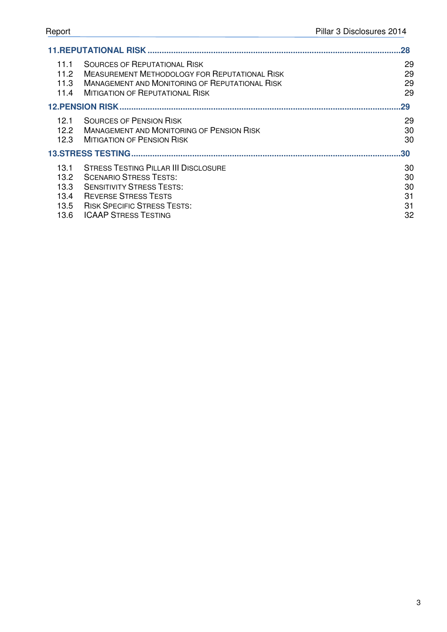|                                                   |                                                                                                                                                                                                | 28                         |
|---------------------------------------------------|------------------------------------------------------------------------------------------------------------------------------------------------------------------------------------------------|----------------------------|
| 11.1<br>11.2<br>11.3<br>11.4                      | <b>SOURCES OF REPUTATIONAL RISK</b><br><b>MEASUREMENT METHODOLOGY FOR REPUTATIONAL RISK</b><br><b>MANAGEMENT AND MONITORING OF REPUTATIONAL RISK</b><br><b>MITIGATION OF REPUTATIONAL RISK</b> | 29<br>29<br>29<br>29       |
|                                                   |                                                                                                                                                                                                | 29                         |
| 12.1<br>12.2<br>12.3                              | <b>SOURCES OF PENSION RISK</b><br><b>MANAGEMENT AND MONITORING OF PENSION RISK</b><br><b>MITIGATION OF PENSION RISK</b>                                                                        | 29<br>30<br>30             |
|                                                   |                                                                                                                                                                                                | .30                        |
| 13.1<br>13.2<br>13.3 <sub>1</sub><br>13.4<br>13.5 | <b>STRESS TESTING PILLAR III DISCLOSURE</b><br><b>SCENARIO STRESS TESTS:</b><br><b>SENSITIVITY STRESS TESTS:</b><br><b>REVERSE STRESS TESTS</b><br><b>RISK SPECIFIC STRESS TESTS:</b>          | 30<br>30<br>30<br>31<br>31 |
| 13.6                                              | <b>ICAAP STRESS TESTING</b>                                                                                                                                                                    | 32                         |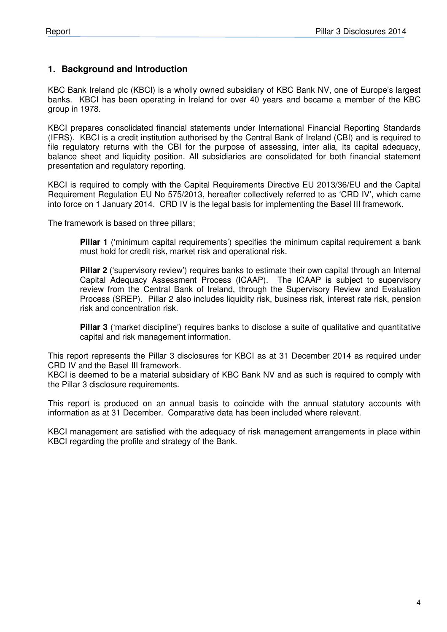## **1. Background and Introduction**

KBC Bank Ireland plc (KBCI) is a wholly owned subsidiary of KBC Bank NV, one of Europe's largest banks. KBCI has been operating in Ireland for over 40 years and became a member of the KBC group in 1978.

KBCI prepares consolidated financial statements under International Financial Reporting Standards (IFRS). KBCI is a credit institution authorised by the Central Bank of Ireland (CBI) and is required to file regulatory returns with the CBI for the purpose of assessing, inter alia, its capital adequacy, balance sheet and liquidity position. All subsidiaries are consolidated for both financial statement presentation and regulatory reporting.

KBCI is required to comply with the Capital Requirements Directive EU 2013/36/EU and the Capital Requirement Regulation EU No 575/2013, hereafter collectively referred to as 'CRD IV', which came into force on 1 January 2014. CRD IV is the legal basis for implementing the Basel III framework.

The framework is based on three pillars;

**Pillar 1** ('minimum capital requirements') specifies the minimum capital requirement a bank must hold for credit risk, market risk and operational risk.

**Pillar 2** ('supervisory review') requires banks to estimate their own capital through an Internal Capital Adequacy Assessment Process (ICAAP). The ICAAP is subject to supervisory review from the Central Bank of Ireland, through the Supervisory Review and Evaluation Process (SREP). Pillar 2 also includes liquidity risk, business risk, interest rate risk, pension risk and concentration risk.

**Pillar 3** ('market discipline') requires banks to disclose a suite of qualitative and quantitative capital and risk management information.

This report represents the Pillar 3 disclosures for KBCI as at 31 December 2014 as required under CRD IV and the Basel III framework.

KBCI is deemed to be a material subsidiary of KBC Bank NV and as such is required to comply with the Pillar 3 disclosure requirements.

This report is produced on an annual basis to coincide with the annual statutory accounts with information as at 31 December. Comparative data has been included where relevant.

KBCI management are satisfied with the adequacy of risk management arrangements in place within KBCI regarding the profile and strategy of the Bank.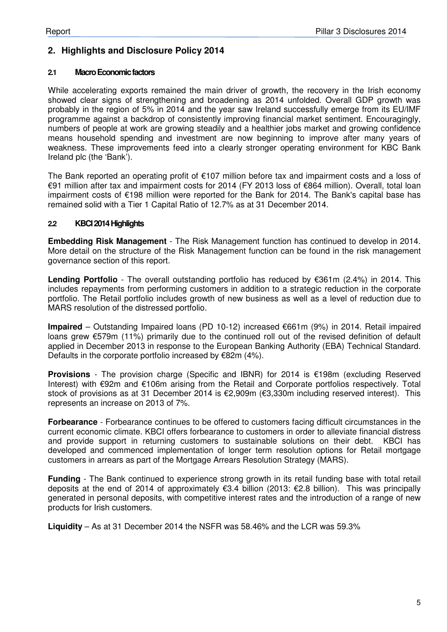# **2. Highlights and Disclosure Policy 2014**

#### **2.1 Macro Economic factors**

While accelerating exports remained the main driver of growth, the recovery in the Irish economy showed clear signs of strengthening and broadening as 2014 unfolded. Overall GDP growth was probably in the region of 5% in 2014 and the year saw Ireland successfully emerge from its EU/IMF programme against a backdrop of consistently improving financial market sentiment. Encouragingly, numbers of people at work are growing steadily and a healthier jobs market and growing confidence means household spending and investment are now beginning to improve after many years of weakness. These improvements feed into a clearly stronger operating environment for KBC Bank Ireland plc (the 'Bank').

The Bank reported an operating profit of €107 million before tax and impairment costs and a loss of €91 million after tax and impairment costs for 2014 (FY 2013 loss of €864 million). Overall, total loan impairment costs of €198 million were reported for the Bank for 2014. The Bank's capital base has remained solid with a Tier 1 Capital Ratio of 12.7% as at 31 December 2014.

#### **2.2 KBCI 2014 Highlights**

**Embedding Risk Management** - The Risk Management function has continued to develop in 2014. More detail on the structure of the Risk Management function can be found in the risk management governance section of this report.

**Lending Portfolio** - The overall outstanding portfolio has reduced by €361m (2.4%) in 2014. This includes repayments from performing customers in addition to a strategic reduction in the corporate portfolio. The Retail portfolio includes growth of new business as well as a level of reduction due to MARS resolution of the distressed portfolio.

**Impaired** – Outstanding Impaired loans (PD 10-12) increased €661m (9%) in 2014. Retail impaired loans grew €579m (11%) primarily due to the continued roll out of the revised definition of default applied in December 2013 in response to the European Banking Authority (EBA) Technical Standard. Defaults in the corporate portfolio increased by €82m (4%).

**Provisions** - The provision charge (Specific and IBNR) for 2014 is €198m (excluding Reserved Interest) with €92m and €106m arising from the Retail and Corporate portfolios respectively. Total stock of provisions as at 31 December 2014 is €2,909m (€3,330m including reserved interest). This represents an increase on 2013 of 7%.

**Forbearance** - Forbearance continues to be offered to customers facing difficult circumstances in the current economic climate. KBCI offers forbearance to customers in order to alleviate financial distress and provide support in returning customers to sustainable solutions on their debt. KBCI has developed and commenced implementation of longer term resolution options for Retail mortgage customers in arrears as part of the Mortgage Arrears Resolution Strategy (MARS).

**Funding** - The Bank continued to experience strong growth in its retail funding base with total retail deposits at the end of 2014 of approximately €3.4 billion (2013: €2.8 billion). This was principally generated in personal deposits, with competitive interest rates and the introduction of a range of new products for Irish customers.

**Liquidity** – As at 31 December 2014 the NSFR was 58.46% and the LCR was 59.3%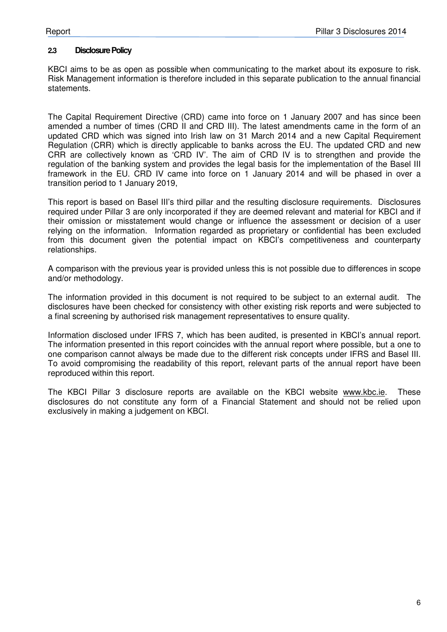#### **2.3 Disclosure Policy**

KBCI aims to be as open as possible when communicating to the market about its exposure to risk. Risk Management information is therefore included in this separate publication to the annual financial statements.

The Capital Requirement Directive (CRD) came into force on 1 January 2007 and has since been amended a number of times (CRD II and CRD III). The latest amendments came in the form of an updated CRD which was signed into Irish law on 31 March 2014 and a new Capital Requirement Regulation (CRR) which is directly applicable to banks across the EU. The updated CRD and new CRR are collectively known as 'CRD IV'. The aim of CRD IV is to strengthen and provide the regulation of the banking system and provides the legal basis for the implementation of the Basel III framework in the EU. CRD IV came into force on 1 January 2014 and will be phased in over a transition period to 1 January 2019,

This report is based on Basel III's third pillar and the resulting disclosure requirements. Disclosures required under Pillar 3 are only incorporated if they are deemed relevant and material for KBCI and if their omission or misstatement would change or influence the assessment or decision of a user relying on the information. Information regarded as proprietary or confidential has been excluded from this document given the potential impact on KBCI's competitiveness and counterparty relationships.

A comparison with the previous year is provided unless this is not possible due to differences in scope and/or methodology.

The information provided in this document is not required to be subject to an external audit. The disclosures have been checked for consistency with other existing risk reports and were subjected to a final screening by authorised risk management representatives to ensure quality.

Information disclosed under IFRS 7, which has been audited, is presented in KBCI's annual report. The information presented in this report coincides with the annual report where possible, but a one to one comparison cannot always be made due to the different risk concepts under IFRS and Basel III. To avoid compromising the readability of this report, relevant parts of the annual report have been reproduced within this report.

The KBCI Pillar 3 disclosure reports are available on the KBCI website www.kbc.ie. These disclosures do not constitute any form of a Financial Statement and should not be relied upon exclusively in making a judgement on KBCI.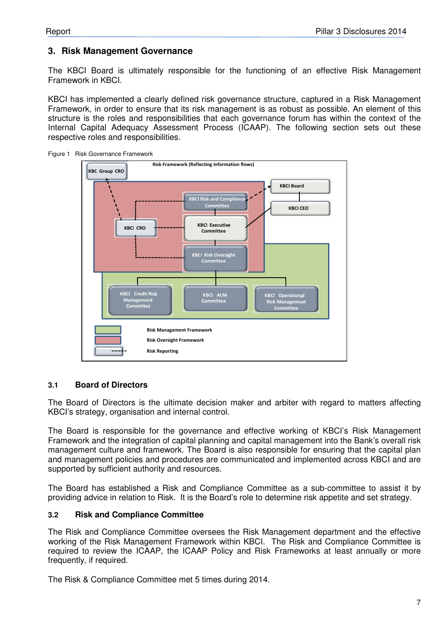# **3. Risk Management Governance**

The KBCI Board is ultimately responsible for the functioning of an effective Risk Management Framework in KBCI.

KBCI has implemented a clearly defined risk governance structure, captured in a Risk Management Framework, in order to ensure that its risk management is as robust as possible. An element of this structure is the roles and responsibilities that each governance forum has within the context of the Internal Capital Adequacy Assessment Process (ICAAP). The following section sets out these respective roles and responsibilities.





#### **3.1 Board of Directors**

The Board of Directors is the ultimate decision maker and arbiter with regard to matters affecting KBCI's strategy, organisation and internal control.

The Board is responsible for the governance and effective working of KBCI's Risk Management Framework and the integration of capital planning and capital management into the Bank's overall risk management culture and framework. The Board is also responsible for ensuring that the capital plan and management policies and procedures are communicated and implemented across KBCI and are supported by sufficient authority and resources.

The Board has established a Risk and Compliance Committee as a sub-committee to assist it by providing advice in relation to Risk. It is the Board's role to determine risk appetite and set strategy.

#### **3.2 Risk and Compliance Committee**

The Risk and Compliance Committee oversees the Risk Management department and the effective working of the Risk Management Framework within KBCI. The Risk and Compliance Committee is required to review the ICAAP, the ICAAP Policy and Risk Frameworks at least annually or more frequently, if required.

The Risk & Compliance Committee met 5 times during 2014.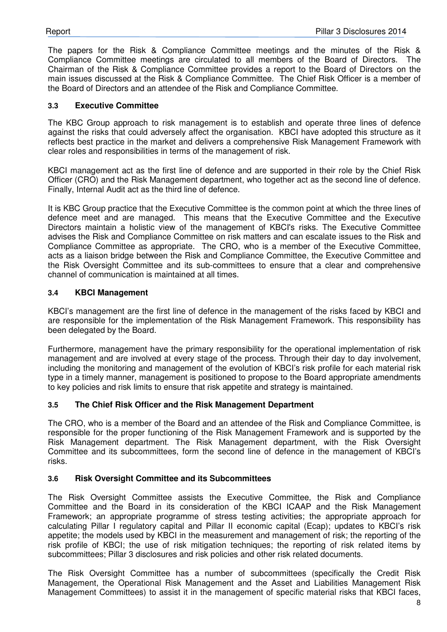The papers for the Risk & Compliance Committee meetings and the minutes of the Risk & Compliance Committee meetings are circulated to all members of the Board of Directors. The Chairman of the Risk & Compliance Committee provides a report to the Board of Directors on the main issues discussed at the Risk & Compliance Committee. The Chief Risk Officer is a member of the Board of Directors and an attendee of the Risk and Compliance Committee.

#### **3.3 Executive Committee**

The KBC Group approach to risk management is to establish and operate three lines of defence against the risks that could adversely affect the organisation. KBCI have adopted this structure as it reflects best practice in the market and delivers a comprehensive Risk Management Framework with clear roles and responsibilities in terms of the management of risk.

KBCI management act as the first line of defence and are supported in their role by the Chief Risk Officer (CRO) and the Risk Management department, who together act as the second line of defence. Finally, Internal Audit act as the third line of defence.

It is KBC Group practice that the Executive Committee is the common point at which the three lines of defence meet and are managed. This means that the Executive Committee and the Executive Directors maintain a holistic view of the management of KBCI's risks. The Executive Committee advises the Risk and Compliance Committee on risk matters and can escalate issues to the Risk and Compliance Committee as appropriate. The CRO, who is a member of the Executive Committee, acts as a liaison bridge between the Risk and Compliance Committee, the Executive Committee and the Risk Oversight Committee and its sub-committees to ensure that a clear and comprehensive channel of communication is maintained at all times.

#### **3.4 KBCI Management**

KBCI's management are the first line of defence in the management of the risks faced by KBCI and are responsible for the implementation of the Risk Management Framework. This responsibility has been delegated by the Board.

Furthermore, management have the primary responsibility for the operational implementation of risk management and are involved at every stage of the process. Through their day to day involvement, including the monitoring and management of the evolution of KBCI's risk profile for each material risk type in a timely manner, management is positioned to propose to the Board appropriate amendments to key policies and risk limits to ensure that risk appetite and strategy is maintained.

## **3.5 The Chief Risk Officer and the Risk Management Department**

The CRO, who is a member of the Board and an attendee of the Risk and Compliance Committee, is responsible for the proper functioning of the Risk Management Framework and is supported by the Risk Management department. The Risk Management department, with the Risk Oversight Committee and its subcommittees, form the second line of defence in the management of KBCI's risks.

#### **3.6 Risk Oversight Committee and its Subcommittees**

The Risk Oversight Committee assists the Executive Committee, the Risk and Compliance Committee and the Board in its consideration of the KBCI ICAAP and the Risk Management Framework; an appropriate programme of stress testing activities; the appropriate approach for calculating Pillar I regulatory capital and Pillar II economic capital (Ecap); updates to KBCI's risk appetite; the models used by KBCI in the measurement and management of risk; the reporting of the risk profile of KBCI; the use of risk mitigation techniques; the reporting of risk related items by subcommittees; Pillar 3 disclosures and risk policies and other risk related documents.

The Risk Oversight Committee has a number of subcommittees (specifically the Credit Risk Management, the Operational Risk Management and the Asset and Liabilities Management Risk Management Committees) to assist it in the management of specific material risks that KBCI faces,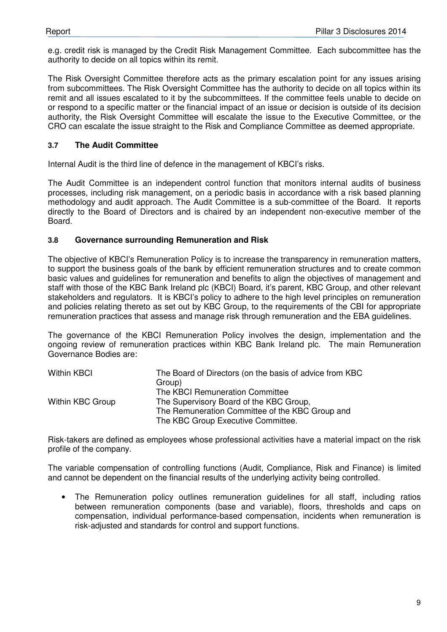e.g. credit risk is managed by the Credit Risk Management Committee. Each subcommittee has the authority to decide on all topics within its remit.

The Risk Oversight Committee therefore acts as the primary escalation point for any issues arising from subcommittees. The Risk Oversight Committee has the authority to decide on all topics within its remit and all issues escalated to it by the subcommittees. If the committee feels unable to decide on or respond to a specific matter or the financial impact of an issue or decision is outside of its decision authority, the Risk Oversight Committee will escalate the issue to the Executive Committee, or the CRO can escalate the issue straight to the Risk and Compliance Committee as deemed appropriate.

#### **3.7 The Audit Committee**

Internal Audit is the third line of defence in the management of KBCI's risks.

The Audit Committee is an independent control function that monitors internal audits of business processes, including risk management, on a periodic basis in accordance with a risk based planning methodology and audit approach. The Audit Committee is a sub-committee of the Board. It reports directly to the Board of Directors and is chaired by an independent non-executive member of the Board.

#### **3.8 Governance surrounding Remuneration and Risk**

The objective of KBCI's Remuneration Policy is to increase the transparency in remuneration matters, to support the business goals of the bank by efficient remuneration structures and to create common basic values and guidelines for remuneration and benefits to align the objectives of management and staff with those of the KBC Bank Ireland plc (KBCI) Board, it's parent, KBC Group, and other relevant stakeholders and regulators. It is KBCI's policy to adhere to the high level principles on remuneration and policies relating thereto as set out by KBC Group, to the requirements of the CBI for appropriate remuneration practices that assess and manage risk through remuneration and the EBA guidelines.

The governance of the KBCI Remuneration Policy involves the design, implementation and the ongoing review of remuneration practices within KBC Bank Ireland plc. The main Remuneration Governance Bodies are:

| <b>Within KBCI</b> | The Board of Directors (on the basis of advice from KBC<br>Group)                                                                |
|--------------------|----------------------------------------------------------------------------------------------------------------------------------|
|                    | The KBCI Remuneration Committee                                                                                                  |
| Within KBC Group   | The Supervisory Board of the KBC Group,<br>The Remuneration Committee of the KBC Group and<br>The KBC Group Executive Committee. |

Risk-takers are defined as employees whose professional activities have a material impact on the risk profile of the company.

The variable compensation of controlling functions (Audit, Compliance, Risk and Finance) is limited and cannot be dependent on the financial results of the underlying activity being controlled.

• The Remuneration policy outlines remuneration guidelines for all staff, including ratios between remuneration components (base and variable), floors, thresholds and caps on compensation, individual performance-based compensation, incidents when remuneration is risk-adjusted and standards for control and support functions.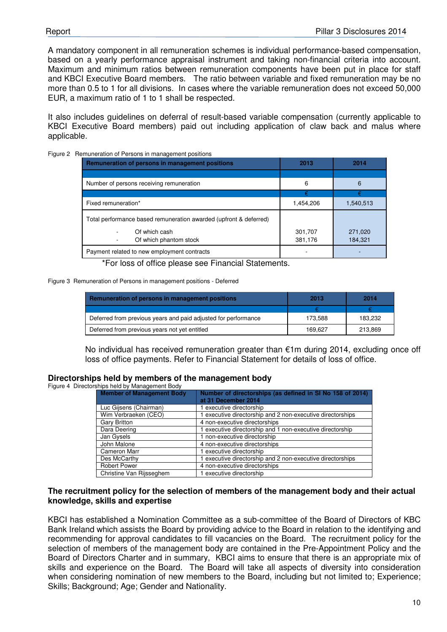A mandatory component in all remuneration schemes is individual performance-based compensation, based on a yearly performance appraisal instrument and taking non-financial criteria into account. Maximum and minimum ratios between remuneration components have been put in place for staff and KBCI Executive Board members. The ratio between variable and fixed remuneration may be no more than 0.5 to 1 for all divisions. In cases where the variable remuneration does not exceed 50,000 EUR, a maximum ratio of 1 to 1 shall be respected.

It also includes guidelines on deferral of result-based variable compensation (currently applicable to KBCI Executive Board members) paid out including application of claw back and malus where applicable.

| Remuneration of Persons in management positions                   |           |           |
|-------------------------------------------------------------------|-----------|-----------|
| Remuneration of persons in management positions                   | 2013      | 2014      |
|                                                                   |           |           |
| Number of persons receiving remuneration                          | 6         | 6         |
|                                                                   | €         |           |
| Fixed remuneration*                                               | 1,454,206 | 1,540,513 |
| Total performance based remuneration awarded (upfront & deferred) |           |           |
| Of which cash                                                     | 301,707   | 271,020   |
| Of which phantom stock                                            | 381,176   | 184,321   |
| Payment related to new employment contracts                       |           |           |

Figure 2 R

\*For loss of office please see Financial Statements.

#### Figure 3 Remuneration of Persons in management positions - Deferred

| <b>Remuneration of persons in management positions</b>         | 2013    | 2014    |
|----------------------------------------------------------------|---------|---------|
|                                                                |         |         |
| Deferred from previous years and paid adjusted for performance | 173.588 | 183,232 |
| Deferred from previous years not yet entitled                  | 169.627 | 213.869 |

No individual has received remuneration greater than €1m during 2014, excluding once off loss of office payments. Refer to Financial Statement for details of loss of office.

#### **Directorships held by members of the management body**

Figure 4 Directorships held by Management Body

| <b>Member of Management Body</b> | Number of directorships (as defined in SI No 158 of 2014)<br>at 31 December 2014 |
|----------------------------------|----------------------------------------------------------------------------------|
| Luc Gijsens (Chairman)           | 1 executive directorship                                                         |
| Wim Verbraeken (CEO)             | 1 executive directorship and 2 non-executive directorships                       |
| <b>Gary Britton</b>              | 4 non-executive directorships                                                    |
| Dara Deering                     | 1 executive directorship and 1 non-executive directorship                        |
| Jan Gysels                       | 1 non-executive directorship                                                     |
| John Malone                      | 4 non-executive directorships                                                    |
| <b>Cameron Marr</b>              | 1 executive directorship                                                         |
| Des McCarthy                     | 1 executive directorship and 2 non-executive directorships                       |
| <b>Robert Power</b>              | 4 non-executive directorships                                                    |
| Christine Van Rijsseghem         | 1 executive directorship                                                         |

#### **The recruitment policy for the selection of members of the management body and their actual knowledge, skills and expertise**

KBCI has established a Nomination Committee as a sub-committee of the Board of Directors of KBC Bank Ireland which assists the Board by providing advice to the Board in relation to the identifying and recommending for approval candidates to fill vacancies on the Board. The recruitment policy for the selection of members of the management body are contained in the Pre-Appointment Policy and the Board of Directors Charter and in summary, KBCI aims to ensure that there is an appropriate mix of skills and experience on the Board. The Board will take all aspects of diversity into consideration when considering nomination of new members to the Board, including but not limited to; Experience; Skills; Background; Age; Gender and Nationality.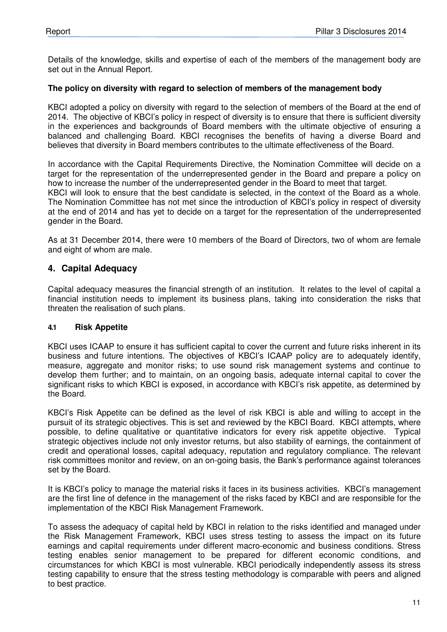Details of the knowledge, skills and expertise of each of the members of the management body are set out in the Annual Report.

#### **The policy on diversity with regard to selection of members of the management body**

KBCI adopted a policy on diversity with regard to the selection of members of the Board at the end of 2014. The objective of KBCI's policy in respect of diversity is to ensure that there is sufficient diversity in the experiences and backgrounds of Board members with the ultimate objective of ensuring a balanced and challenging Board. KBCI recognises the benefits of having a diverse Board and believes that diversity in Board members contributes to the ultimate effectiveness of the Board.

In accordance with the Capital Requirements Directive, the Nomination Committee will decide on a target for the representation of the underrepresented gender in the Board and prepare a policy on how to increase the number of the underrepresented gender in the Board to meet that target. KBCI will look to ensure that the best candidate is selected, in the context of the Board as a whole. The Nomination Committee has not met since the introduction of KBCI's policy in respect of diversity at the end of 2014 and has yet to decide on a target for the representation of the underrepresented gender in the Board.

As at 31 December 2014, there were 10 members of the Board of Directors, two of whom are female and eight of whom are male.

## **4. Capital Adequacy**

Capital adequacy measures the financial strength of an institution. It relates to the level of capital a financial institution needs to implement its business plans, taking into consideration the risks that threaten the realisation of such plans.

#### **4.1 Risk Appetite**

KBCI uses ICAAP to ensure it has sufficient capital to cover the current and future risks inherent in its business and future intentions. The objectives of KBCI's ICAAP policy are to adequately identify, measure, aggregate and monitor risks; to use sound risk management systems and continue to develop them further; and to maintain, on an ongoing basis, adequate internal capital to cover the significant risks to which KBCI is exposed, in accordance with KBCI's risk appetite, as determined by the Board.

KBCI's Risk Appetite can be defined as the level of risk KBCI is able and willing to accept in the pursuit of its strategic objectives. This is set and reviewed by the KBCI Board. KBCI attempts, where possible, to define qualitative or quantitative indicators for every risk appetite objective. Typical strategic objectives include not only investor returns, but also stability of earnings, the containment of credit and operational losses, capital adequacy, reputation and regulatory compliance. The relevant risk committees monitor and review, on an on-going basis, the Bank's performance against tolerances set by the Board.

It is KBCI's policy to manage the material risks it faces in its business activities. KBCI's management are the first line of defence in the management of the risks faced by KBCI and are responsible for the implementation of the KBCI Risk Management Framework.

To assess the adequacy of capital held by KBCI in relation to the risks identified and managed under the Risk Management Framework, KBCI uses stress testing to assess the impact on its future earnings and capital requirements under different macro-economic and business conditions. Stress testing enables senior management to be prepared for different economic conditions, and circumstances for which KBCI is most vulnerable. KBCI periodically independently assess its stress testing capability to ensure that the stress testing methodology is comparable with peers and aligned to best practice.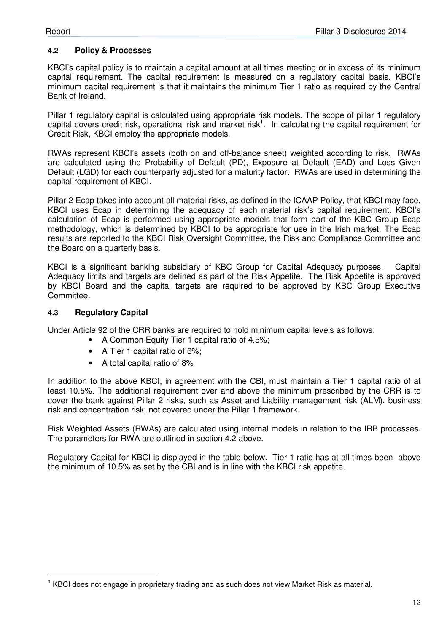#### **4.2 Policy & Processes**

KBCI's capital policy is to maintain a capital amount at all times meeting or in excess of its minimum capital requirement. The capital requirement is measured on a regulatory capital basis. KBCI's minimum capital requirement is that it maintains the minimum Tier 1 ratio as required by the Central Bank of Ireland.

Pillar 1 regulatory capital is calculated using appropriate risk models. The scope of pillar 1 regulatory capital covers credit risk, operational risk and market risk<sup>1</sup>. In calculating the capital requirement for Credit Risk, KBCI employ the appropriate models.

RWAs represent KBCI's assets (both on and off-balance sheet) weighted according to risk. RWAs are calculated using the Probability of Default (PD), Exposure at Default (EAD) and Loss Given Default (LGD) for each counterparty adjusted for a maturity factor. RWAs are used in determining the capital requirement of KBCI.

Pillar 2 Ecap takes into account all material risks, as defined in the ICAAP Policy, that KBCI may face. KBCI uses Ecap in determining the adequacy of each material risk's capital requirement. KBCI's calculation of Ecap is performed using appropriate models that form part of the KBC Group Ecap methodology, which is determined by KBCI to be appropriate for use in the Irish market. The Ecap results are reported to the KBCI Risk Oversight Committee, the Risk and Compliance Committee and the Board on a quarterly basis.

KBCI is a significant banking subsidiary of KBC Group for Capital Adequacy purposes. Capital Adequacy limits and targets are defined as part of the Risk Appetite. The Risk Appetite is approved by KBCI Board and the capital targets are required to be approved by KBC Group Executive Committee.

#### **4.3 Regulatory Capital**

Under Article 92 of the CRR banks are required to hold minimum capital levels as follows:

- A Common Equity Tier 1 capital ratio of 4.5%;
- A Tier 1 capital ratio of 6%;
- A total capital ratio of 8%

In addition to the above KBCI, in agreement with the CBI, must maintain a Tier 1 capital ratio of at least 10.5%. The additional requirement over and above the minimum prescribed by the CRR is to cover the bank against Pillar 2 risks, such as Asset and Liability management risk (ALM), business risk and concentration risk, not covered under the Pillar 1 framework.

Risk Weighted Assets (RWAs) are calculated using internal models in relation to the IRB processes. The parameters for RWA are outlined in section 4.2 above.

Regulatory Capital for KBCI is displayed in the table below. Tier 1 ratio has at all times been above the minimum of 10.5% as set by the CBI and is in line with the KBCI risk appetite.

 1 KBCI does not engage in proprietary trading and as such does not view Market Risk as material.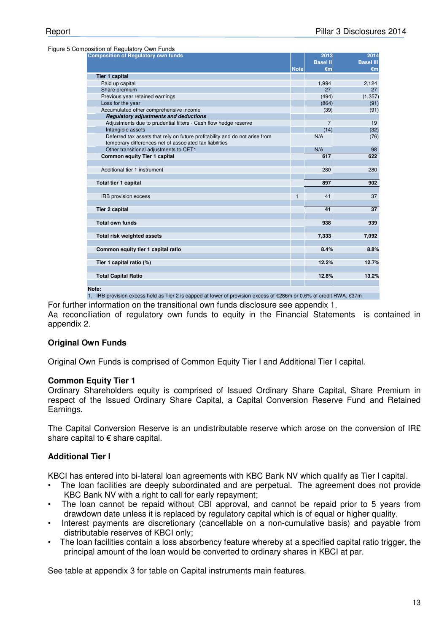Figure 5 Composition of Regulatory Own Funds

| A CONTIGHT OF REQUISION OWN FUNDS                                                                                                      |              |                 |                  |
|----------------------------------------------------------------------------------------------------------------------------------------|--------------|-----------------|------------------|
| <b>Composition of Regulatory own funds</b>                                                                                             |              | 2013            | 2014             |
|                                                                                                                                        |              | <b>Basel II</b> | <b>Basel III</b> |
|                                                                                                                                        | <b>Note</b>  | €m              | $\epsilon$ m     |
| <b>Tier 1 capital</b>                                                                                                                  |              |                 |                  |
| Paid up capital                                                                                                                        |              | 1,994           | 2,124            |
| Share premium                                                                                                                          |              | 27              | 27               |
| Previous year retained earnings                                                                                                        |              | (494)           | (1, 357)         |
| Loss for the year                                                                                                                      |              | (864)           | (91)             |
| Accumulated other comprehensive income                                                                                                 |              | (39)            | (91)             |
| <b>Requlatory adjustments and deductions</b>                                                                                           |              |                 |                  |
| Adjustments due to prudential filters - Cash flow hedge reserve                                                                        |              | $\overline{7}$  | 19               |
| Intangible assets                                                                                                                      |              | (14)            | (32)             |
| Deferred tax assets that rely on future profitability and do not arise from<br>temporary differences net of associated tax liabilities |              | N/A             | (76)             |
| Other transitional adjustments to CET1                                                                                                 |              | N/A             | 98               |
| Common equity Tier 1 capital                                                                                                           |              | 617             | 622              |
|                                                                                                                                        |              |                 |                  |
| Additional tier 1 instrument                                                                                                           |              | 280             | 280              |
|                                                                                                                                        |              |                 |                  |
| <b>Total tier 1 capital</b>                                                                                                            |              | 897             | 902              |
|                                                                                                                                        |              |                 |                  |
| <b>IRB</b> provision excess                                                                                                            | $\mathbf{1}$ | 41              | 37               |
|                                                                                                                                        |              |                 |                  |
| <b>Tier 2 capital</b>                                                                                                                  |              | 41              | 37               |
|                                                                                                                                        |              |                 |                  |
| <b>Total own funds</b>                                                                                                                 |              | 938             | 939              |
|                                                                                                                                        |              |                 |                  |
| <b>Total risk weighted assets</b>                                                                                                      |              | 7,333           | 7,092            |
|                                                                                                                                        |              |                 |                  |
| Common equity tier 1 capital ratio                                                                                                     |              | 8.4%            | 8.8%             |
|                                                                                                                                        |              |                 |                  |
| Tier 1 capital ratio (%)                                                                                                               |              | 12.2%           | 12.7%            |
|                                                                                                                                        |              |                 |                  |
| <b>Total Capital Ratio</b>                                                                                                             |              | 12.8%           | 13.2%            |
|                                                                                                                                        |              |                 |                  |
| Note:                                                                                                                                  |              |                 |                  |

1. IRB provision excess held as Tier 2 is capped at lower of provision excess of €286m or 0.6% of credit RWA, €37m

For further information on the transitional own funds disclosure see appendix 1.

Aa reconciliation of regulatory own funds to equity in the Financial Statements is contained in appendix 2.

#### **Original Own Funds**

Original Own Funds is comprised of Common Equity Tier I and Additional Tier I capital.

#### **Common Equity Tier 1**

Ordinary Shareholders equity is comprised of Issued Ordinary Share Capital, Share Premium in respect of the Issued Ordinary Share Capital, a Capital Conversion Reserve Fund and Retained Earnings.

The Capital Conversion Reserve is an undistributable reserve which arose on the conversion of IR£ share capital to  $\epsilon$  share capital.

#### **Additional Tier I**

KBCI has entered into bi-lateral loan agreements with KBC Bank NV which qualify as Tier I capital.

- The loan facilities are deeply subordinated and are perpetual. The agreement does not provide KBC Bank NV with a right to call for early repayment:
- The loan cannot be repaid without CBI approval, and cannot be repaid prior to 5 years from drawdown date unless it is replaced by regulatory capital which is of equal or higher quality.
- Interest payments are discretionary (cancellable on a non-cumulative basis) and payable from distributable reserves of KBCI only;
- The loan facilities contain a loss absorbency feature whereby at a specified capital ratio trigger, the principal amount of the loan would be converted to ordinary shares in KBCI at par.

See table at appendix 3 for table on Capital instruments main features.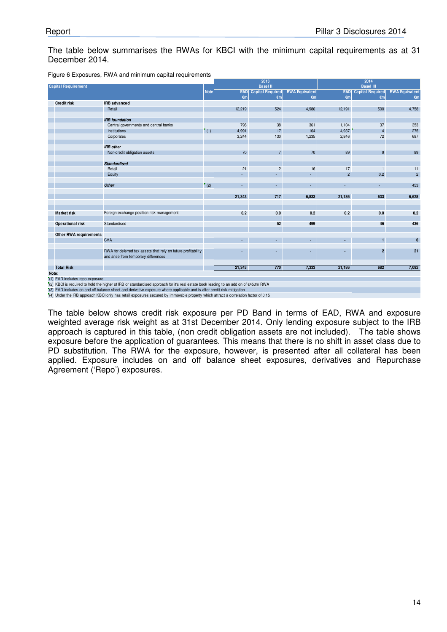#### The table below summarises the RWAs for KBCI with the minimum capital requirements as at 31 December 2014.

|                                |                                                                                                                                     |             |              | 2013                    |                       |                | 2014                        |                       |
|--------------------------------|-------------------------------------------------------------------------------------------------------------------------------------|-------------|--------------|-------------------------|-----------------------|----------------|-----------------------------|-----------------------|
| <b>Capital Requirement</b>     |                                                                                                                                     |             |              | <b>Basel II</b>         |                       |                | <b>Basel III</b>            |                       |
|                                |                                                                                                                                     | <b>Note</b> | <b>EAD</b>   | <b>Capital Required</b> | <b>RWA Equivalent</b> |                | <b>EAD</b> Capital Required | <b>RWA Equivalent</b> |
|                                |                                                                                                                                     |             | $\epsilon$ m | $\epsilon$ m            | $\epsilon$ m          | $\epsilon$ m   | $\epsilon$ m                | $\epsilon$ m          |
| <b>Credit risk</b>             | <b>IRB</b> advanced                                                                                                                 |             |              |                         |                       |                |                             |                       |
|                                | Retail                                                                                                                              |             | 12,219       | 524                     | 4,986                 | 12,191         | 500                         | 4,758                 |
|                                | <b>IRB</b> foundation                                                                                                               |             |              |                         |                       |                |                             |                       |
|                                |                                                                                                                                     |             | 798          |                         | 361                   | 1,104          | 37                          | 353                   |
|                                | Central governments and central banks<br>Institutions                                                                               | (1)         | 4,991        | $38\,$<br>17            | 164                   | 4,937          | 14                          | 275                   |
|                                |                                                                                                                                     |             |              |                         |                       |                |                             |                       |
|                                | Corporates                                                                                                                          |             | 3,244        | 130                     | 1,235                 | 2,846          | 72                          | 687                   |
|                                | <b>IRB</b> other                                                                                                                    |             |              |                         |                       |                |                             |                       |
|                                | Non-credit obligation assets                                                                                                        |             | 70           | $\overline{7}$          | 70                    | 89             | 9                           | 89                    |
|                                | <b>Standardised</b>                                                                                                                 |             |              |                         |                       |                |                             |                       |
|                                | Retail                                                                                                                              |             | 21           | $\overline{c}$          | 16                    | 17             | $\mathbf{1}$                | 11                    |
|                                | Equity                                                                                                                              |             |              | ÷.                      |                       | $\overline{2}$ | 0.2                         | $\overline{2}$        |
|                                |                                                                                                                                     |             |              |                         |                       |                |                             |                       |
|                                | <b>Other</b>                                                                                                                        | (2)         |              | ÷.                      |                       |                |                             | 453                   |
|                                |                                                                                                                                     |             | 21,343       | 717                     | 6,833                 | 21,186         | 633                         | 6,628                 |
|                                |                                                                                                                                     |             |              |                         |                       |                |                             |                       |
| <b>Market risk</b>             | Foreign exchange position risk management                                                                                           |             | 0.2          | 0.0                     | 0.2                   | 0.2            | 0.0                         | 0.2                   |
| <b>Operational risk</b>        | Standardised                                                                                                                        |             |              | 52                      | 499                   |                | 46                          | 436                   |
|                                |                                                                                                                                     |             |              |                         |                       |                |                             |                       |
| <b>Other RWA requirements</b>  | <b>CVA</b>                                                                                                                          |             |              | ÷.                      |                       |                | $\mathbf{1}$                | 6                     |
|                                |                                                                                                                                     |             |              |                         |                       |                |                             |                       |
|                                | RWA for deferred tax assets that rely on future profitability<br>and arise from temporary differences                               |             |              | ٠                       |                       |                | $\overline{2}$              | 21                    |
| <b>Total Risk</b>              |                                                                                                                                     |             | 21,343       | 770                     | 7,333                 | 21,186         | 682                         | 7,092                 |
| Note:                          |                                                                                                                                     |             |              |                         |                       |                |                             |                       |
| (1) EAD includes repo exposure |                                                                                                                                     |             |              |                         |                       |                |                             |                       |
|                                | (2) KRCL is required to hold the higher of IRR or standardised approach for it's real estate book leading to an add on of £453m RMA |             |              |                         |                       |                |                             |                       |
|                                |                                                                                                                                     |             |              |                         |                       |                |                             |                       |

Figure 6 Exposures, RWA and minimum capital requirements

(2) KBCI is required to hold the higher of IRB or standardised approach for it's real estate book leading to an add on of €453m RWA<br>(3) EAD includes on and off balance sheet and derivative exposure where applicable and is

The table below shows credit risk exposure per PD Band in terms of EAD, RWA and exposure weighted average risk weight as at 31st December 2014. Only lending exposure subject to the IRB approach is captured in this table, (non credit obligation assets are not included). The table shows exposure before the application of guarantees. This means that there is no shift in asset class due to PD substitution. The RWA for the exposure, however, is presented after all collateral has been applied. Exposure includes on and off balance sheet exposures, derivatives and Repurchase Agreement ('Repo') exposures.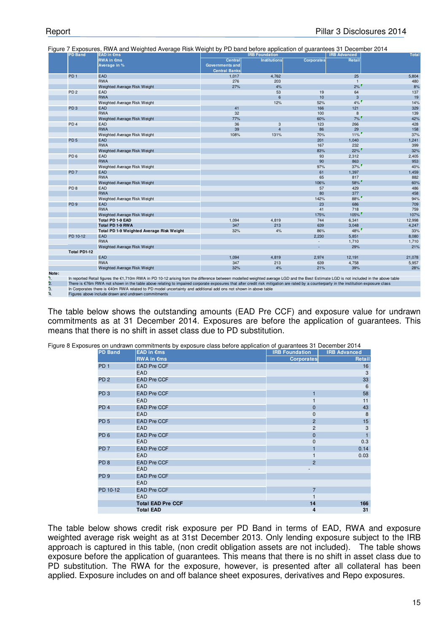|                        | <b>PD Band</b>  | i iyulc 7 Exposures, rivvA and vveighted Average riisk vveight by FD band before application of guarantees of December 2014<br>EAD in Cms                                                                                                                                                                                                                                        |                                                           | <b>IRB Foundation</b> |                          | <b>IRB Advanced</b> | <b>Total</b> |
|------------------------|-----------------|----------------------------------------------------------------------------------------------------------------------------------------------------------------------------------------------------------------------------------------------------------------------------------------------------------------------------------------------------------------------------------|-----------------------------------------------------------|-----------------------|--------------------------|---------------------|--------------|
|                        |                 | <b>RWA in €ms</b><br>Average in %                                                                                                                                                                                                                                                                                                                                                | Central<br><b>Governments and</b><br><b>Central Banks</b> | <b>Institutions</b>   | <b>Corporates</b>        | Retail              |              |
|                        | PD <sub>1</sub> | <b>EAD</b>                                                                                                                                                                                                                                                                                                                                                                       | 1,017                                                     | 4,762                 |                          | 25                  | 5,804        |
|                        |                 | <b>RWA</b>                                                                                                                                                                                                                                                                                                                                                                       | 276                                                       | 203                   |                          | $\mathbf{1}$        | 480          |
|                        |                 | Weighted Average Risk Weight                                                                                                                                                                                                                                                                                                                                                     | 27%                                                       | 4%                    |                          | 2%                  | 8%           |
|                        | PD <sub>2</sub> | EAD                                                                                                                                                                                                                                                                                                                                                                              |                                                           | 53                    | 19                       | 64                  | 137          |
|                        |                 | <b>RWA</b>                                                                                                                                                                                                                                                                                                                                                                       |                                                           | 6                     | 10                       | 3                   | 19           |
|                        |                 | Weighted Average Risk Weight                                                                                                                                                                                                                                                                                                                                                     |                                                           | 12%                   | 52%                      | $4\%$               | 14%          |
|                        | PD <sub>3</sub> | <b>EAD</b>                                                                                                                                                                                                                                                                                                                                                                       | 41                                                        |                       | 166                      | 121                 | 329          |
|                        |                 | <b>RWA</b>                                                                                                                                                                                                                                                                                                                                                                       | 32                                                        |                       | 100                      | 8                   | 139          |
|                        |                 | Weighted Average Risk Weight                                                                                                                                                                                                                                                                                                                                                     | 77%                                                       |                       | 60%                      | 7%                  | 42%          |
|                        | PD <sub>4</sub> | EAD                                                                                                                                                                                                                                                                                                                                                                              | 36                                                        | 3                     | 123                      | 266                 | 428          |
|                        |                 | <b>RWA</b>                                                                                                                                                                                                                                                                                                                                                                       | 39                                                        | $\overline{4}$        | 86                       | 29                  | 158          |
|                        |                 | Weighted Average Risk Weight                                                                                                                                                                                                                                                                                                                                                     | 108%                                                      | 131%                  | 70%                      | $11\%$              | 37%          |
|                        | PD <sub>5</sub> | <b>EAD</b>                                                                                                                                                                                                                                                                                                                                                                       |                                                           |                       | 201                      | 1,040               | 1,241        |
|                        |                 | <b>RWA</b>                                                                                                                                                                                                                                                                                                                                                                       |                                                           |                       | 167                      | 232                 | 399          |
|                        |                 | Weighted Average Risk Weight                                                                                                                                                                                                                                                                                                                                                     |                                                           |                       | 83%                      | 22%                 | 32%          |
|                        | PD <sub>6</sub> | <b>EAD</b>                                                                                                                                                                                                                                                                                                                                                                       |                                                           |                       | 93                       | 2,312               | 2,405        |
|                        |                 | <b>RWA</b>                                                                                                                                                                                                                                                                                                                                                                       |                                                           |                       | 90                       | 863                 | 953          |
|                        |                 | Weighted Average Risk Weight                                                                                                                                                                                                                                                                                                                                                     |                                                           |                       | 97%                      | $37\%$              | 40%          |
|                        | PD <sub>7</sub> | <b>EAD</b>                                                                                                                                                                                                                                                                                                                                                                       |                                                           |                       | 61                       | 1,397               | 1,459        |
|                        |                 | <b>RWA</b>                                                                                                                                                                                                                                                                                                                                                                       |                                                           |                       | 65                       | 817                 | 882          |
|                        |                 | Weighted Average Risk Weight                                                                                                                                                                                                                                                                                                                                                     |                                                           |                       | 106%                     | 58%                 | 60%          |
|                        | PD <sub>8</sub> | <b>EAD</b>                                                                                                                                                                                                                                                                                                                                                                       |                                                           |                       | 57                       | 429                 | 486          |
|                        |                 | <b>RWA</b>                                                                                                                                                                                                                                                                                                                                                                       |                                                           |                       | 80                       | 377                 | 458          |
|                        |                 | Weighted Average Risk Weight                                                                                                                                                                                                                                                                                                                                                     |                                                           |                       | 142%                     | $88\%$              | 94%          |
|                        | PD <sub>9</sub> | EAD                                                                                                                                                                                                                                                                                                                                                                              |                                                           |                       | 23                       | 686                 | 709          |
|                        |                 | <b>RWA</b>                                                                                                                                                                                                                                                                                                                                                                       |                                                           |                       | 41                       | 718                 | 759          |
|                        |                 | Weighted Average Risk Weight                                                                                                                                                                                                                                                                                                                                                     |                                                           |                       | 175%                     | 105%                | 107%         |
|                        |                 | <b>Total PD 1-9 EAD</b>                                                                                                                                                                                                                                                                                                                                                          | 1,094                                                     | 4,819                 | 744                      | 6,341               | 12,998       |
|                        |                 | <b>Total PD 1-9 RWA</b>                                                                                                                                                                                                                                                                                                                                                          | 347                                                       | 213                   | 639                      | 3.048               | 4,247        |
|                        |                 | Total PD 1-9 Weighted Average Risk Weight                                                                                                                                                                                                                                                                                                                                        | 32%                                                       | 4%                    | 86%                      | 48%                 | 33%          |
|                        | PD 10-12        | EAD                                                                                                                                                                                                                                                                                                                                                                              |                                                           |                       | 2.230                    | 5,851               | 8,080        |
|                        |                 | <b>RWA</b>                                                                                                                                                                                                                                                                                                                                                                       |                                                           |                       | $\overline{\phantom{a}}$ | 1,710               | 1,710        |
|                        |                 | Weighted Average Risk Weight                                                                                                                                                                                                                                                                                                                                                     |                                                           |                       | ä,                       | 29%                 | 21%          |
|                        | Total PD1-12    |                                                                                                                                                                                                                                                                                                                                                                                  |                                                           |                       |                          |                     |              |
|                        |                 | EAD                                                                                                                                                                                                                                                                                                                                                                              | 1,094                                                     | 4,819                 | 2,974                    | 12,191              | 21,078       |
|                        |                 | <b>RWA</b>                                                                                                                                                                                                                                                                                                                                                                       | 347                                                       | 213                   | 639                      | 4,758               | 5,957        |
|                        |                 | Weighted Average Risk Weight                                                                                                                                                                                                                                                                                                                                                     | 32%                                                       | 4%                    | 21%                      | 39%                 | 28%          |
| Note:                  |                 |                                                                                                                                                                                                                                                                                                                                                                                  |                                                           |                       |                          |                     |              |
| ۹.<br>$\overline{2}$ . |                 | In reported Retail figures the €1,710m RWA in PD 10-12 arising from the difference between modelled weighted average LGD and the Best Estimate LGD is not included in the above table<br>There is €76m RWA not shown in the table above relating to impaired corporate exposures that after credit risk mitigation are rated by a counterparty in the institution exposure class |                                                           |                       |                          |                     |              |
| З.                     |                 | In Corporates there is €40m RWA related to PD model uncertainty and additional add ons not shown in above table                                                                                                                                                                                                                                                                  |                                                           |                       |                          |                     |              |
| 4.                     |                 |                                                                                                                                                                                                                                                                                                                                                                                  |                                                           |                       |                          |                     |              |
|                        |                 | Figures above include drawn and undrawn commitments                                                                                                                                                                                                                                                                                                                              |                                                           |                       |                          |                     |              |

Figure 7 Exposures, RWA and Weighted Average Risk Weight by PD band before application of guarantees 31 December 2014

The table below shows the outstanding amounts (EAD Pre CCF) and exposure value for undrawn commitments as at 31 December 2014. Exposures are before the application of guarantees. This means that there is no shift in asset class due to PD substitution.

| es on undrawn commitments by exposure class before application of guarantees 31 December 2014 |                          |                       |                     |  |  |  |  |
|-----------------------------------------------------------------------------------------------|--------------------------|-----------------------|---------------------|--|--|--|--|
| <b>PD Band</b>                                                                                | <b>EAD in €ms</b>        | <b>IRB Foundation</b> | <b>IRB Advanced</b> |  |  |  |  |
|                                                                                               | <b>RWA in €ms</b>        | <b>Corporates</b>     | Retail              |  |  |  |  |
| PD <sub>1</sub>                                                                               | <b>EAD Pre CCF</b>       |                       | 16                  |  |  |  |  |
|                                                                                               | EAD                      |                       | 3                   |  |  |  |  |
| PD <sub>2</sub>                                                                               | <b>EAD Pre CCF</b>       |                       | 33                  |  |  |  |  |
|                                                                                               | EAD                      |                       | 6                   |  |  |  |  |
| PD <sub>3</sub>                                                                               | <b>EAD Pre CCF</b>       | 1                     | 58                  |  |  |  |  |
|                                                                                               | <b>EAD</b>               |                       | 11                  |  |  |  |  |
| PD <sub>4</sub>                                                                               | <b>EAD Pre CCF</b>       | 0                     | 43                  |  |  |  |  |
|                                                                                               | <b>EAD</b>               | 0                     | 8                   |  |  |  |  |
| PD <sub>5</sub>                                                                               | <b>EAD Pre CCF</b>       | $\overline{2}$        | 15                  |  |  |  |  |
|                                                                                               | <b>EAD</b>               | 2                     | 3                   |  |  |  |  |
| PD <sub>6</sub>                                                                               | <b>EAD Pre CCF</b>       | 0                     | $\mathbf{1}$        |  |  |  |  |
|                                                                                               | <b>EAD</b>               | 0                     | 0.3                 |  |  |  |  |
| PD <sub>7</sub>                                                                               | <b>EAD Pre CCF</b>       |                       | 0.14                |  |  |  |  |
|                                                                                               | <b>EAD</b>               |                       | 0.03                |  |  |  |  |
| PD <sub>8</sub>                                                                               | <b>EAD Pre CCF</b>       | $\overline{2}$        |                     |  |  |  |  |
|                                                                                               | <b>EAD</b>               |                       |                     |  |  |  |  |
| PD <sub>9</sub>                                                                               | <b>EAD Pre CCF</b>       |                       |                     |  |  |  |  |
|                                                                                               | EAD                      |                       |                     |  |  |  |  |
| PD 10-12                                                                                      | <b>EAD Pre CCF</b>       | $\overline{7}$        |                     |  |  |  |  |
|                                                                                               | <b>EAD</b>               |                       |                     |  |  |  |  |
|                                                                                               | <b>Total EAD Pre CCF</b> | 14                    | 166                 |  |  |  |  |
|                                                                                               | <b>Total EAD</b>         | 4                     | 31                  |  |  |  |  |

Figure 8 Exposure

The table below shows credit risk exposure per PD Band in terms of EAD, RWA and exposure weighted average risk weight as at 31st December 2013. Only lending exposure subject to the IRB approach is captured in this table, (non credit obligation assets are not included). The table shows exposure before the application of guarantees. This means that there is no shift in asset class due to PD substitution. The RWA for the exposure, however, is presented after all collateral has been applied. Exposure includes on and off balance sheet exposures, derivatives and Repo exposures.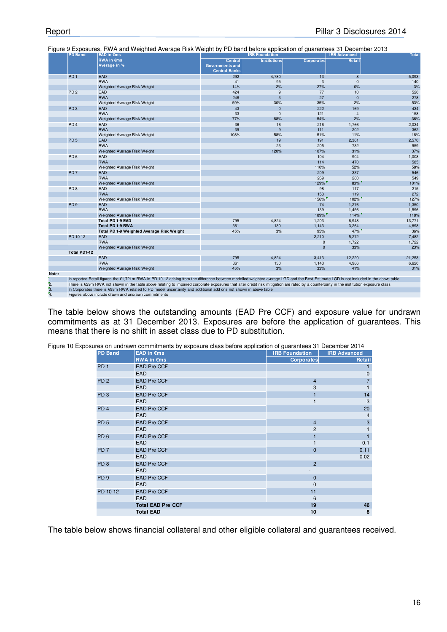|                  | <b>PD Band</b>      | <b>EAD in Cms</b>                                                                                                                                                                       |                        | <b>IRB Foundation</b> |                   | <b>IRB Advanced</b> | <b>Total</b> |
|------------------|---------------------|-----------------------------------------------------------------------------------------------------------------------------------------------------------------------------------------|------------------------|-----------------------|-------------------|---------------------|--------------|
|                  |                     | <b>RWA in €ms</b>                                                                                                                                                                       | <b>Central</b>         | <b>Institutions</b>   | <b>Corporates</b> | Retail              |              |
|                  |                     | Average in %                                                                                                                                                                            | <b>Governments and</b> |                       |                   |                     |              |
|                  |                     |                                                                                                                                                                                         | <b>Central Banks</b>   |                       |                   |                     |              |
|                  | PD <sub>1</sub>     | <b>EAD</b>                                                                                                                                                                              | 292                    | 4,780                 | 13                | 8                   | 5,093        |
|                  |                     | <b>RWA</b>                                                                                                                                                                              | 41                     | 95                    | 3                 | $\mathbf{0}$        | 140          |
|                  |                     | Weighted Average Risk Weight                                                                                                                                                            | 14%                    | 2%                    | 27%               | 0%                  | 3%           |
|                  | PD <sub>2</sub>     | EAD                                                                                                                                                                                     | 424                    | 9                     | 77                | 10                  | 520          |
|                  |                     | <b>RWA</b>                                                                                                                                                                              | 248                    | 3                     | 27                | $\mathbf 0$         | 278          |
|                  |                     | Weighted Average Risk Weight                                                                                                                                                            | 59%                    | 30%                   | 35%               | 2%                  | 53%          |
|                  | PD <sub>3</sub>     | EAD                                                                                                                                                                                     | 43                     | $\overline{0}$        | 222               | 169                 | 434          |
|                  |                     | <b>RWA</b>                                                                                                                                                                              | 33                     | $\mathbf 0$           | 121               | $\overline{4}$      | 158          |
|                  |                     | Weighted Average Risk Weight                                                                                                                                                            | 77%                    | 88%                   | 54%               | 2%                  | 36%          |
|                  | PD <sub>4</sub>     | EAD                                                                                                                                                                                     | 36                     | 16                    | 216               | 1,766               | 2,034        |
|                  |                     | <b>RWA</b>                                                                                                                                                                              | 39                     | 9                     | 111               | 202                 | 362          |
|                  |                     | Weighted Average Risk Weight                                                                                                                                                            | 108%                   | 58%                   | 51%               | 11%                 | 18%          |
|                  | PD <sub>5</sub>     | <b>EAD</b>                                                                                                                                                                              |                        | 19                    | 191               | 2,361               | 2,570        |
|                  |                     | <b>RWA</b>                                                                                                                                                                              |                        | 23                    | 205               | 732                 | 959          |
|                  |                     | Weighted Average Risk Weight                                                                                                                                                            |                        | 120%                  | 107%              | 31%                 | 37%          |
|                  | PD <sub>6</sub>     | EAD                                                                                                                                                                                     |                        |                       | 104               | 904                 | 1,008        |
|                  |                     | <b>RWA</b>                                                                                                                                                                              |                        |                       | 114               | 470                 | 585          |
|                  |                     | Weighted Average Risk Weight                                                                                                                                                            |                        |                       | 110%              | 52%                 | 58%          |
|                  | PD <sub>7</sub>     | <b>EAD</b>                                                                                                                                                                              |                        |                       | 209               | 337                 | 546          |
|                  |                     | <b>RWA</b>                                                                                                                                                                              |                        |                       | 269               | 280                 | 549          |
|                  |                     | Weighted Average Risk Weight                                                                                                                                                            |                        |                       | 129%              | 83%                 | 101%         |
|                  | PD <sub>8</sub>     | EAD                                                                                                                                                                                     |                        |                       | 98                | 117                 | 215          |
|                  |                     | <b>RWA</b>                                                                                                                                                                              |                        |                       | 153               | 119                 | 272          |
|                  |                     | Weighted Average Risk Weight                                                                                                                                                            |                        |                       | 156%              | 102%                | 127%         |
|                  | PD <sub>9</sub>     | <b>EAD</b>                                                                                                                                                                              |                        |                       | 74                | 1,276               | 1,350        |
|                  |                     | <b>RWA</b>                                                                                                                                                                              |                        |                       | 139               | 1.456               | 1,596        |
|                  |                     | Weighted Average Risk Weight                                                                                                                                                            |                        |                       | 189%              | 114%                | 118%         |
|                  |                     | <b>Total PD 1-9 EAD</b>                                                                                                                                                                 | 795                    | 4,824                 | 1,203             | 6,948               | 13,771       |
|                  |                     | Total PD 1-9 RWA                                                                                                                                                                        | 361                    | 130                   | 1,143             | 3,264               | 4,898        |
|                  |                     | Total PD 1-9 Weighted Average Risk Weight                                                                                                                                               | 45%                    | 3%                    | 95%               | $47\%$              | 36%          |
|                  | PD 10-12            | <b>EAD</b>                                                                                                                                                                              |                        |                       | 2,210             | 5,272               | 7,482        |
|                  |                     | <b>RWA</b>                                                                                                                                                                              |                        |                       | 0                 | 1,722               | 1,722        |
|                  |                     | Weighted Average Risk Weight                                                                                                                                                            |                        |                       | $\mathbf 0$       | 33%                 | 23%          |
|                  | <b>Total PD1-12</b> |                                                                                                                                                                                         |                        |                       |                   |                     |              |
|                  |                     | EAD                                                                                                                                                                                     | 795                    | 4.824                 | 3,413             | 12,220              | 21,253       |
|                  |                     | <b>RWA</b>                                                                                                                                                                              | 361                    | 130                   | 1,143             | 4,986               | 6,620        |
|                  |                     | Weighted Average Risk Weight                                                                                                                                                            | 45%                    | 3%                    | 33%               | 41%                 | 31%          |
| Note:            |                     |                                                                                                                                                                                         |                        |                       |                   |                     |              |
| 1.               |                     | In reported Retail figures the €1,721m RWA in PD 10-12 arising from the difference between modelled weighted average LGD and the Best Estimate LGD is not included in the above table   |                        |                       |                   |                     |              |
| $\overline{2}$ . |                     | There is €29m RWA not shown in the table above relating to impaired corporate exposures that after credit risk mitigation are rated by a counterparty in the institution exposure class |                        |                       |                   |                     |              |
| 3.               |                     | In Corporates there is €98m RWA related to PD model uncertainty and additional add ons not shown in above table                                                                         |                        |                       |                   |                     |              |
| 4.               |                     | Figures above include drawn and undrawn commitments                                                                                                                                     |                        |                       |                   |                     |              |

Figure 9 Exposures, RWA and Weighted Average Risk Weight by PD band before application of guarantees 31 December 2013

The table below shows the outstanding amounts (EAD Pre CCF) and exposure value for undrawn commitments as at 31 December 2013. Exposures are before the application of guarantees. This means that there is no shift in asset class due to PD substitution.

> **IRB Foundation | IRB Advanced Corporates Retail** PD 1 EAD Pre CCF 1 EAD 0 PD 2 EAD Pre CCF 7 4  $\mathsf{EAD}$  and  $\mathsf{I}$  3  $\mathsf{I}$  3  $\mathsf{I}$  1 PD 3 EAD Pre CCF 14 1 EAD 3 1 PD 4 EAD Pre CCF 20<br>
> EAD 4 4 20 EAD 4 PD 5 EAD Pre CCF 3 3  $EAD$  2  $1$ PD 6 EAD Pre CCF 1 1 EAD 0.1 1 PD 7 EAD Pre CCF 0.11 0.11 0.12 PD 7 0.11 0.12 PD 7 0.11 0.12 PD 7 0.11 0.12 PD 7 0.12 PD 7 0.12 PD 7 0.12 PD 7 0.12 PD 7 0.12 PD 7 0.12 PD 7 0.12 PD 7 0.12 PD 7 0.12 PD 7 0.12 PD 7 0.12 PD 7 0.12 PD 7 0.12 PD 7 0.12 PD 7 EAD 0.02 - PD 8 EAD Pre CCF 2 EAD - PD 9 EAD Pre CCF 0 EAD 0 PD 10-12 EAD Pre CCF 11 PD 10-12 11 EAD 6 **Total EAD Pre CCF** 46 **Total EAD** 8 **PD Band EAD in €ms RWA in €ms**

Figure 10 Exposures on undrawn commitments by exposure class before application of guarantees 31 December 2014

The table below shows financial collateral and other eligible collateral and guarantees received.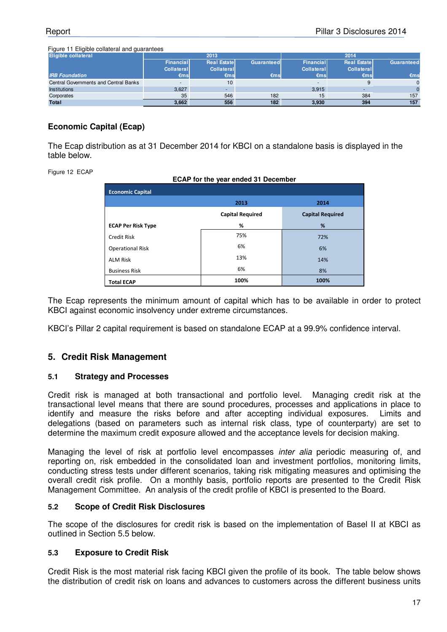Figure 11 Eligible collateral and guarantees

| <b>Eligible collateral</b>            |            | 2013               |            |                          | 2014               |            |
|---------------------------------------|------------|--------------------|------------|--------------------------|--------------------|------------|
|                                       | Financial  | <b>Real Estate</b> | Guaranteed | Financial                | <b>Real Estate</b> | Guaranteed |
|                                       | Collateral | Collateral         |            | Collateral               | Collateral         |            |
| <b>IRB Foundation</b>                 | €msl       | €ms                | €ms        | $\epsilon$ msl           | €msl               | €ms        |
| Central Governments and Central Banks |            | 10 <sup>°</sup>    |            | $\overline{\phantom{a}}$ |                    |            |
| <b>Institutions</b>                   | 3.627      |                    |            | 3.915                    |                    |            |
| Corporates                            | 35         | 546                | 182        | 15                       | 384                | 157        |
| <b>Total</b>                          | 3.662      | 556                | 182        | 3.930                    | 394                | 157        |

#### **Economic Capital (Ecap)**

The Ecap distribution as at 31 December 2014 for KBCI on a standalone basis is displayed in the table below.

Figure 12 ECAP

| ECAP for the year ended 31 December |                         |                         |  |  |  |  |  |
|-------------------------------------|-------------------------|-------------------------|--|--|--|--|--|
| <b>Economic Capital</b>             |                         |                         |  |  |  |  |  |
| 2014<br>2013                        |                         |                         |  |  |  |  |  |
|                                     | <b>Capital Required</b> | <b>Capital Required</b> |  |  |  |  |  |
| <b>ECAP Per Risk Type</b>           | %                       | %                       |  |  |  |  |  |
| Credit Risk                         | 75%                     | 72%                     |  |  |  |  |  |
| <b>Operational Risk</b>             | 6%                      | 6%                      |  |  |  |  |  |
| <b>ALM Risk</b>                     | 13%                     | 14%                     |  |  |  |  |  |
| <b>Business Risk</b>                | 6%                      | 8%                      |  |  |  |  |  |
| <b>Total ECAP</b>                   | 100%                    | 100%                    |  |  |  |  |  |

The Ecap represents the minimum amount of capital which has to be available in order to protect KBCI against economic insolvency under extreme circumstances.

KBCI's Pillar 2 capital requirement is based on standalone ECAP at a 99.9% confidence interval.

## **5. Credit Risk Management**

#### **5.1 Strategy and Processes**

Credit risk is managed at both transactional and portfolio level. Managing credit risk at the transactional level means that there are sound procedures, processes and applications in place to identify and measure the risks before and after accepting individual exposures. Limits and delegations (based on parameters such as internal risk class, type of counterparty) are set to determine the maximum credit exposure allowed and the acceptance levels for decision making.

Managing the level of risk at portfolio level encompasses inter alia periodic measuring of, and reporting on, risk embedded in the consolidated loan and investment portfolios, monitoring limits, conducting stress tests under different scenarios, taking risk mitigating measures and optimising the overall credit risk profile. On a monthly basis, portfolio reports are presented to the Credit Risk Management Committee. An analysis of the credit profile of KBCI is presented to the Board.

#### **5.2 Scope of Credit Risk Disclosures**

The scope of the disclosures for credit risk is based on the implementation of Basel II at KBCI as outlined in Section 5.5 below.

#### **5.3 Exposure to Credit Risk**

Credit Risk is the most material risk facing KBCI given the profile of its book. The table below shows the distribution of credit risk on loans and advances to customers across the different business units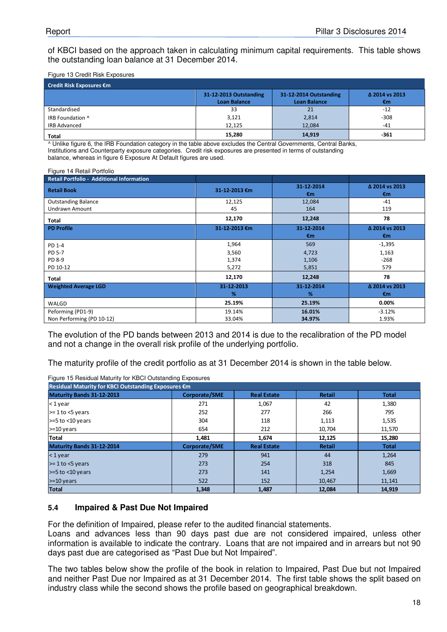of KBCI based on the approach taken in calculating minimum capital requirements. This table shows the outstanding loan balance at 31 December 2014.

Figure 13 Credit Risk Exposures

| Credit Risk Exposures €m |                                               |                                               |                      |  |  |  |
|--------------------------|-----------------------------------------------|-----------------------------------------------|----------------------|--|--|--|
|                          | 31-12-2013 Outstanding<br><b>Loan Balance</b> | 31-12-2014 Outstanding<br><b>Loan Balance</b> | Δ 2014 vs 2013<br>€m |  |  |  |
| Standardised             | 33                                            | 21                                            | $-12$                |  |  |  |
| IRB Foundation ^         | 3,121                                         | 2,814                                         | $-308$               |  |  |  |
| <b>IRB Advanced</b>      | 12,125                                        | 12,084                                        | $-41$                |  |  |  |
| <b>Total</b>             | 15,280                                        | 14,919                                        | -361                 |  |  |  |

^ Unlike figure 6, the IRB Foundation category in the table above excludes the Central Governments, Central Banks, Institutions and Counterparty exposure categories. Credit risk exposures are presented in terms of outstanding balance, whereas in figure 6 Exposure At Default figures are used.

Figure 14 Retail Portfolio

| Retail Portfolio - Additional Information |                 |                  |                      |
|-------------------------------------------|-----------------|------------------|----------------------|
| <b>Retail Book</b>                        | 31-12-2013 €m   | 31-12-2014<br>€m | △ 2014 vs 2013<br>€m |
| <b>Outstanding Balance</b>                | 12,125          | 12,084           | $-41$                |
| <b>Undrawn Amount</b>                     | 45              | 164              | 119                  |
| Total                                     | 12,170          | 12,248           | 78                   |
| <b>PD Profile</b>                         | 31-12-2013 €m   | 31-12-2014<br>€m | △ 2014 vs 2013<br>€m |
| PD 1-4                                    | 1,964           | 569              | $-1,395$             |
| PD 5-7                                    | 3,560           | 4,723            | 1,163                |
| PD 8-9                                    | 1,374           | 1,106            | $-268$               |
| PD 10-12                                  | 5,272           | 5,851            | 579                  |
| Total                                     | 12,170          | 12,248           | 78                   |
| <b>Weighted Average LGD</b>               | 31-12-2013<br>% | 31-12-2014<br>%  | △ 2014 vs 2013<br>€m |
| WALGD                                     | 25.19%          | 25.19%           | 0.00%                |
| Peforming (PD1-9)                         | 19.14%          | 16.01%           | $-3.12%$             |
| Non Performing (PD 10-12)                 | 33.04%          | 34.97%           | 1.93%                |

The evolution of the PD bands between 2013 and 2014 is due to the recalibration of the PD model and not a change in the overall risk profile of the underlying portfolio.

The maturity profile of the credit portfolio as at 31 December 2014 is shown in the table below.

| Residual Maturity for KBCI Outstanding Exposures €m                                               |               |                    |               |              |  |  |  |  |  |
|---------------------------------------------------------------------------------------------------|---------------|--------------------|---------------|--------------|--|--|--|--|--|
| Maturity Bands 31-12-2013<br>Corporate/SME<br><b>Real Estate</b><br><b>Retail</b><br><b>Total</b> |               |                    |               |              |  |  |  |  |  |
| $<$ 1 year                                                                                        | 271           | 1,067              | 42            | 1,380        |  |  |  |  |  |
| $> = 1$ to $<$ 5 years                                                                            | 252           | 277                | 266           | 795          |  |  |  |  |  |
| $>=5$ to $<$ 10 years                                                                             | 304           | 118                | 1,113         | 1,535        |  |  |  |  |  |
| $>=10$ years                                                                                      | 654           | 212                | 10,704        | 11,570       |  |  |  |  |  |
| <b>Total</b>                                                                                      | 1,481         | 1,674              | 12,125        | 15,280       |  |  |  |  |  |
| Maturity Bands 31-12-2014                                                                         | Corporate/SME | <b>Real Estate</b> | <b>Retail</b> | <b>Total</b> |  |  |  |  |  |
| $<$ 1 year                                                                                        | 279           | 941                | 44            | 1,264        |  |  |  |  |  |
| $\ge$ 1 to $\le$ 5 years                                                                          | 273           | 254                | 318           | 845          |  |  |  |  |  |
| $>=5$ to $<$ 10 years                                                                             | 273           | 141                | 1,254         | 1,669        |  |  |  |  |  |
| $>=10$ years                                                                                      | 522           | 152                | 10,467        | 11,141       |  |  |  |  |  |
| <b>Total</b>                                                                                      | 1,348         | 1,487              | 12.084        | 14,919       |  |  |  |  |  |

Figure 15 Residual Maturity for KBCI Outstanding Exposures

#### **5.4 Impaired & Past Due Not Impaired**

For the definition of Impaired, please refer to the audited financial statements.

Loans and advances less than 90 days past due are not considered impaired, unless other information is available to indicate the contrary. Loans that are not impaired and in arrears but not 90 days past due are categorised as "Past Due but Not Impaired".

The two tables below show the profile of the book in relation to Impaired, Past Due but not Impaired and neither Past Due nor Impaired as at 31 December 2014. The first table shows the split based on industry class while the second shows the profile based on geographical breakdown.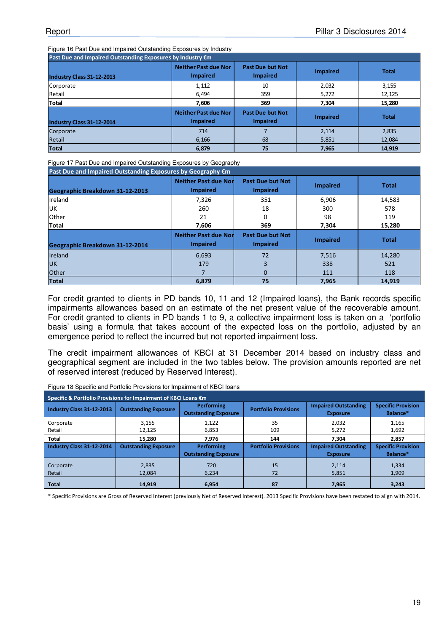Figure 16 Past Due and Impaired Outstanding Exposures by Industry

| Past Due and Impaired Outstanding Exposures by Industry €m |                                                |                                            |                 |              |  |  |
|------------------------------------------------------------|------------------------------------------------|--------------------------------------------|-----------------|--------------|--|--|
| Industry Class 31-12-2013                                  | <b>Neither Past due Nor</b><br><b>Impaired</b> | <b>Past Due but Not</b><br><b>Impaired</b> | <b>Impaired</b> | <b>Total</b> |  |  |
| Corporate                                                  | 1,112                                          | 10                                         | 2,032           | 3,155        |  |  |
| Retail                                                     | 6.494                                          | 359                                        | 5,272           | 12,125       |  |  |
| Total                                                      | 7,606                                          | 369                                        | 7.304           | 15,280       |  |  |
| Industry Class 31-12-2014                                  | <b>Neither Past due Nor</b><br><b>Impaired</b> | <b>Past Due but Not</b><br><b>Impaired</b> | <b>Impaired</b> | <b>Total</b> |  |  |
| Corporate                                                  | 714                                            |                                            | 2,114           | 2,835        |  |  |
| Retail                                                     | 6,166                                          | 68                                         | 5,851           | 12,084       |  |  |
| <b>Total</b>                                               | 6,879                                          | 75                                         | 7,965           | 14,919       |  |  |

Figure 17 Past Due and Impaired Outstanding Exposures by Geography

| Past Due and Impaired Outstanding Exposures by Geography €m |                                                 |                                            |                 |              |  |  |
|-------------------------------------------------------------|-------------------------------------------------|--------------------------------------------|-----------------|--------------|--|--|
| Geographic Breakdown 31-12-2013                             | <b>Neither Past due Nor</b><br><b>Impaired</b>  | <b>Past Due but Not</b><br><b>Impaired</b> | <b>Impaired</b> | <b>Total</b> |  |  |
| Ireland                                                     | 7,326                                           | 351                                        | 6,906           | 14,583       |  |  |
| <b>UK</b>                                                   | 260                                             | 18                                         | 300             | 578          |  |  |
| <b>Other</b>                                                | 21                                              | 0                                          | 98              | 119          |  |  |
| <b>Total</b>                                                | 7,606                                           | 369                                        | 7,304           | 15,280       |  |  |
| Geographic Breakdown 31-12-2014                             | <b>Neither Past due Nord</b><br><b>Impaired</b> | <b>Past Due but Not</b><br><b>Impaired</b> | <b>Impaired</b> | <b>Total</b> |  |  |
| <b>Ireland</b>                                              | 6,693                                           | 72                                         | 7,516           | 14,280       |  |  |
| <b>UK</b>                                                   | 179                                             | 3                                          | 338             | 521          |  |  |
| Other                                                       |                                                 | $\Omega$                                   | 111             | 118          |  |  |
| <b>Total</b>                                                | 6,879                                           | 75                                         | 7,965           | 14,919       |  |  |

For credit granted to clients in PD bands 10, 11 and 12 (Impaired loans), the Bank records specific impairments allowances based on an estimate of the net present value of the recoverable amount. For credit granted to clients in PD bands 1 to 9, a collective impairment loss is taken on a 'portfolio basis' using a formula that takes account of the expected loss on the portfolio, adjusted by an emergence period to reflect the incurred but not reported impairment loss.

The credit impairment allowances of KBCI at 31 December 2014 based on industry class and geographical segment are included in the two tables below. The provision amounts reported are net of reserved interest (reduced by Reserved Interest).

| Specific & Portfolio Provisions for Impairment of KBCI Loans €m |                             |                                                  |                             |                                                |                                       |  |
|-----------------------------------------------------------------|-----------------------------|--------------------------------------------------|-----------------------------|------------------------------------------------|---------------------------------------|--|
| Industry Class 31-12-2013                                       | <b>Outstanding Exposure</b> | <b>Performing</b><br><b>Outstanding Exposure</b> | <b>Portfolio Provisions</b> | <b>Impaired Outstanding</b><br><b>Exposure</b> | <b>Specific Provision</b><br>Balance* |  |
| Corporate<br>Retail                                             | 3,155<br>12,125             | 1,122<br>6,853                                   | 35<br>109                   | 2,032<br>5,272                                 | 1,165<br>1,692                        |  |
| <b>Total</b>                                                    | 15.280                      | 7.976                                            | 144                         | 7.304                                          | 2.857                                 |  |
| Industry Class 31-12-2014                                       | <b>Outstanding Exposure</b> | Performing<br><b>Outstanding Exposure</b>        | <b>Portfolio Provisions</b> | <b>Impaired Outstanding</b><br><b>Exposure</b> | <b>Specific Provision</b><br>Balance* |  |
| Corporate<br>Retail                                             | 2.835<br>12.084             | 720<br>6,234                                     | 15<br>72                    | 2.114<br>5,851                                 | 1,334<br>1,909                        |  |
| <b>Total</b>                                                    | 14,919                      | 6.954                                            | 87                          | 7.965                                          | 3,243                                 |  |

Figure 18 Specific and Portfolio Provisions for Impairment of KBCI loans

\* Specific Provisions are Gross of Reserved Interest (previously Net of Reserved Interest). 2013 Specific Provisions have been restated to align with 2014.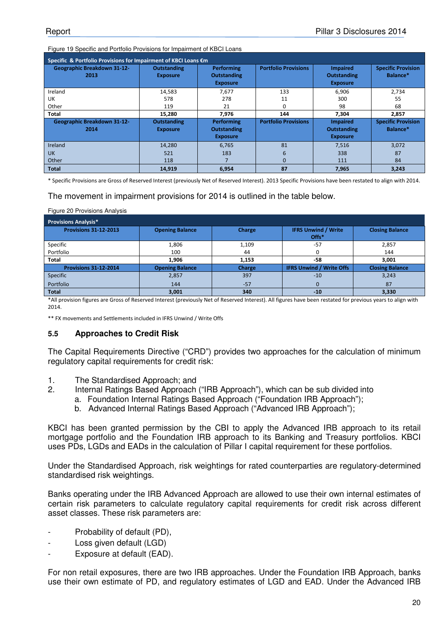Figure 19 Specific and Portfolio Provisions for Impairment of KBCI Loans

| Specific & Portfolio Provisions for Impairment of KBCI Loans €m |                                       |                                                     |                             |                                                          |                                       |  |
|-----------------------------------------------------------------|---------------------------------------|-----------------------------------------------------|-----------------------------|----------------------------------------------------------|---------------------------------------|--|
| <b>Geographic Breakdown 31-12-</b><br>2013                      | <b>Outstanding</b><br><b>Exposure</b> | Performing<br><b>Outstanding</b><br><b>Exposure</b> | <b>Portfolio Provisions</b> | <b>Impaired</b><br><b>Outstanding</b><br><b>Exposure</b> | <b>Specific Provision</b><br>Balance* |  |
| Ireland                                                         | 14,583                                | 7,677                                               | 133                         | 6,906                                                    | 2,734                                 |  |
| UK                                                              | 578                                   | 278                                                 | 11                          | 300                                                      | 55                                    |  |
| Other                                                           | 119                                   | 21                                                  | 0                           | 98                                                       | 68                                    |  |
| <b>Total</b>                                                    | 15,280                                | 7.976                                               | 144                         | 7,304                                                    | 2,857                                 |  |
| <b>Geographic Breakdown 31-12-</b><br>2014                      | <b>Outstanding</b><br><b>Exposure</b> | Performing<br><b>Outstanding</b><br><b>Exposure</b> | <b>Portfolio Provisions</b> | <b>Impaired</b><br><b>Outstanding</b><br><b>Exposure</b> | <b>Specific Provision</b><br>Balance* |  |
| Ireland                                                         | 14,280                                | 6,765                                               | 81                          | 7,516                                                    | 3,072                                 |  |
| <b>UK</b>                                                       | 521                                   | 183                                                 | ĥ                           | 338                                                      | 87                                    |  |
| Other                                                           | 118                                   |                                                     | 0                           | 111                                                      | 84                                    |  |
| <b>Total</b>                                                    | 14,919                                | 6,954                                               | 87                          | 7,965                                                    | 3,243                                 |  |

\* Specific Provisions are Gross of Reserved Interest (previously Net of Reserved Interest). 2013 Specific Provisions have been restated to align with 2014.

The movement in impairment provisions for 2014 is outlined in the table below.

| Figure 20 Provisions Analysis |                        |        |                                     |                        |  |  |  |
|-------------------------------|------------------------|--------|-------------------------------------|------------------------|--|--|--|
| <b>Provisions Analysis*</b>   |                        |        |                                     |                        |  |  |  |
| <b>Provisions 31-12-2013</b>  | <b>Opening Balance</b> | Charge | <b>IFRS Unwind / Write</b><br>Offs* | <b>Closing Balance</b> |  |  |  |
| Specific                      | 1,806                  | 1,109  | $-57$                               | 2,857                  |  |  |  |
| Portfolio                     | 100                    | 44     | 0                                   | 144                    |  |  |  |
| Total                         | 1.906                  | 1.153  | -58                                 | 3.001                  |  |  |  |
| <b>Provisions 31-12-2014</b>  | <b>Opening Balance</b> | Charge | <b>IFRS Unwind / Write Offs</b>     | <b>Closing Balance</b> |  |  |  |
| Specific                      | 2,857                  | 397    | $-10$                               | 3,243                  |  |  |  |
| Portfolio                     | 144                    | $-57$  |                                     | 87                     |  |  |  |
| <b>Total</b>                  | 3,001                  | 340    | $-10$                               | 3,330                  |  |  |  |

\*All provision figures are Gross of Reserved Interest (previously Net of Reserved Interest). All figures have been restated for previous years to align with 2014.

\*\* FX movements and Settlements included in IFRS Unwind / Write Offs

#### **5.5 Approaches to Credit Risk**

The Capital Requirements Directive ("CRD") provides two approaches for the calculation of minimum regulatory capital requirements for credit risk:

- 1. The Standardised Approach; and
- 2. Internal Ratings Based Approach ("IRB Approach"), which can be sub divided into
	- a. Foundation Internal Ratings Based Approach ("Foundation IRB Approach");
	- b. Advanced Internal Ratings Based Approach ("Advanced IRB Approach");

KBCI has been granted permission by the CBI to apply the Advanced IRB approach to its retail mortgage portfolio and the Foundation IRB approach to its Banking and Treasury portfolios. KBCI uses PDs, LGDs and EADs in the calculation of Pillar I capital requirement for these portfolios.

Under the Standardised Approach, risk weightings for rated counterparties are regulatory-determined standardised risk weightings.

Banks operating under the IRB Advanced Approach are allowed to use their own internal estimates of certain risk parameters to calculate regulatory capital requirements for credit risk across different asset classes. These risk parameters are:

- Probability of default (PD),
- Loss given default (LGD)
- Exposure at default (EAD).

For non retail exposures, there are two IRB approaches. Under the Foundation IRB Approach, banks use their own estimate of PD, and regulatory estimates of LGD and EAD. Under the Advanced IRB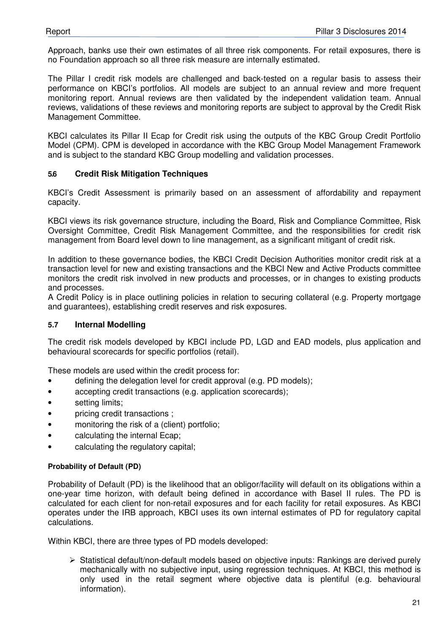Approach, banks use their own estimates of all three risk components. For retail exposures, there is no Foundation approach so all three risk measure are internally estimated.

The Pillar I credit risk models are challenged and back-tested on a regular basis to assess their performance on KBCI's portfolios. All models are subject to an annual review and more frequent monitoring report. Annual reviews are then validated by the independent validation team. Annual reviews, validations of these reviews and monitoring reports are subject to approval by the Credit Risk Management Committee.

KBCI calculates its Pillar II Ecap for Credit risk using the outputs of the KBC Group Credit Portfolio Model (CPM). CPM is developed in accordance with the KBC Group Model Management Framework and is subject to the standard KBC Group modelling and validation processes.

#### **5.6 Credit Risk Mitigation Techniques**

KBCI's Credit Assessment is primarily based on an assessment of affordability and repayment capacity.

KBCI views its risk governance structure, including the Board, Risk and Compliance Committee, Risk Oversight Committee, Credit Risk Management Committee, and the responsibilities for credit risk management from Board level down to line management, as a significant mitigant of credit risk.

In addition to these governance bodies, the KBCI Credit Decision Authorities monitor credit risk at a transaction level for new and existing transactions and the KBCI New and Active Products committee monitors the credit risk involved in new products and processes, or in changes to existing products and processes.

A Credit Policy is in place outlining policies in relation to securing collateral (e.g. Property mortgage and guarantees), establishing credit reserves and risk exposures.

#### **5.7 Internal Modelling**

The credit risk models developed by KBCI include PD, LGD and EAD models, plus application and behavioural scorecards for specific portfolios (retail).

These models are used within the credit process for:

- defining the delegation level for credit approval (e.g. PD models);
- accepting credit transactions (e.g. application scorecards);
- setting limits;
- pricing credit transactions;
- monitoring the risk of a (client) portfolio;
- calculating the internal Ecap;
- calculating the regulatory capital;

#### **Probability of Default (PD)**

Probability of Default (PD) is the likelihood that an obligor/facility will default on its obligations within a one-year time horizon, with default being defined in accordance with Basel II rules. The PD is calculated for each client for non-retail exposures and for each facility for retail exposures. As KBCI operates under the IRB approach, KBCI uses its own internal estimates of PD for regulatory capital calculations.

Within KBCI, there are three types of PD models developed:

 $\triangleright$  Statistical default/non-default models based on objective inputs: Rankings are derived purely mechanically with no subjective input, using regression techniques. At KBCI, this method is only used in the retail segment where objective data is plentiful (e.g. behavioural information).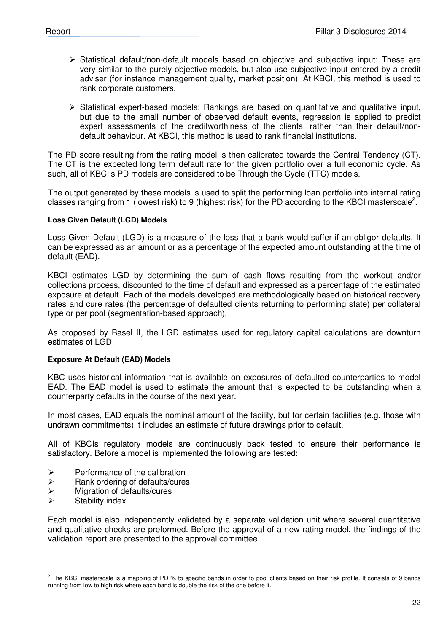- $\triangleright$  Statistical default/non-default models based on objective and subjective input: These are very similar to the purely objective models, but also use subjective input entered by a credit adviser (for instance management quality, market position). At KBCI, this method is used to rank corporate customers.
- $\triangleright$  Statistical expert-based models: Rankings are based on quantitative and qualitative input, but due to the small number of observed default events, regression is applied to predict expert assessments of the creditworthiness of the clients, rather than their default/nondefault behaviour. At KBCI, this method is used to rank financial institutions.

The PD score resulting from the rating model is then calibrated towards the Central Tendency (CT). The CT is the expected long term default rate for the given portfolio over a full economic cycle. As such, all of KBCI's PD models are considered to be Through the Cycle (TTC) models.

The output generated by these models is used to split the performing loan portfolio into internal rating classes ranging from 1 (lowest risk) to 9 (highest risk) for the PD according to the KBCI masterscale<sup>2</sup>.

#### **Loss Given Default (LGD) Models**

Loss Given Default (LGD) is a measure of the loss that a bank would suffer if an obligor defaults. It can be expressed as an amount or as a percentage of the expected amount outstanding at the time of default (EAD).

KBCI estimates LGD by determining the sum of cash flows resulting from the workout and/or collections process, discounted to the time of default and expressed as a percentage of the estimated exposure at default. Each of the models developed are methodologically based on historical recovery rates and cure rates (the percentage of defaulted clients returning to performing state) per collateral type or per pool (segmentation-based approach).

As proposed by Basel II, the LGD estimates used for regulatory capital calculations are downturn estimates of LGD.

#### **Exposure At Default (EAD) Models**

KBC uses historical information that is available on exposures of defaulted counterparties to model EAD. The EAD model is used to estimate the amount that is expected to be outstanding when a counterparty defaults in the course of the next year.

In most cases. EAD equals the nominal amount of the facility, but for certain facilities (e.g. those with undrawn commitments) it includes an estimate of future drawings prior to default.

All of KBCIs regulatory models are continuously back tested to ensure their performance is satisfactory. Before a model is implemented the following are tested:

- $\triangleright$  Performance of the calibration
- $\triangleright$  Rank ordering of defaults/cures
- $\triangleright$  Migration of defaults/cures
- $\triangleright$  Stability index

Each model is also independently validated by a separate validation unit where several quantitative and qualitative checks are preformed. Before the approval of a new rating model, the findings of the validation report are presented to the approval committee.

 2 The KBCI masterscale is a mapping of PD % to specific bands in order to pool clients based on their risk profile. It consists of 9 bands running from low to high risk where each band is double the risk of the one before it.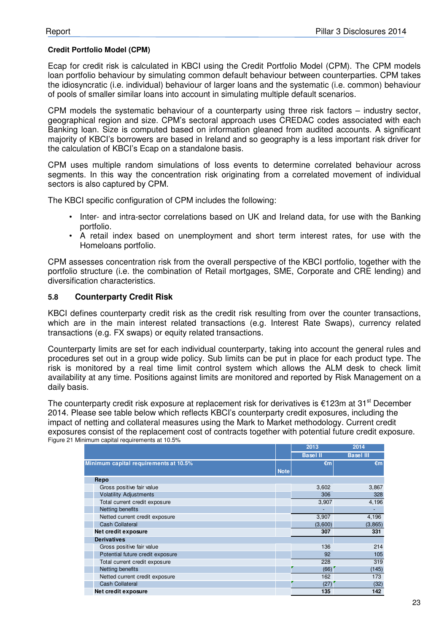#### **Credit Portfolio Model (CPM)**

Ecap for credit risk is calculated in KBCI using the Credit Portfolio Model (CPM). The CPM models loan portfolio behaviour by simulating common default behaviour between counterparties. CPM takes the idiosyncratic (i.e. individual) behaviour of larger loans and the systematic (i.e. common) behaviour of pools of smaller similar loans into account in simulating multiple default scenarios.

CPM models the systematic behaviour of a counterparty using three risk factors – industry sector, geographical region and size. CPM's sectoral approach uses CREDAC codes associated with each Banking loan. Size is computed based on information gleaned from audited accounts. A significant majority of KBCI's borrowers are based in Ireland and so geography is a less important risk driver for the calculation of KBCI's Ecap on a standalone basis.

CPM uses multiple random simulations of loss events to determine correlated behaviour across segments. In this way the concentration risk originating from a correlated movement of individual sectors is also captured by CPM.

The KBCI specific configuration of CPM includes the following:

- Inter- and intra-sector correlations based on UK and Ireland data, for use with the Banking portfolio.
- A retail index based on unemployment and short term interest rates, for use with the Homeloans portfolio.

CPM assesses concentration risk from the overall perspective of the KBCI portfolio, together with the portfolio structure (i.e. the combination of Retail mortgages, SME, Corporate and CRE lending) and diversification characteristics.

#### **5.8 Counterparty Credit Risk**

KBCI defines counterparty credit risk as the credit risk resulting from over the counter transactions, which are in the main interest related transactions (e.g. Interest Rate Swaps), currency related transactions (e.g. FX swaps) or equity related transactions.

Counterparty limits are set for each individual counterparty, taking into account the general rules and procedures set out in a group wide policy. Sub limits can be put in place for each product type. The risk is monitored by a real time limit control system which allows the ALM desk to check limit availability at any time. Positions against limits are monitored and reported by Risk Management on a daily basis.

The counterparty credit risk exposure at replacement risk for derivatives is  $\epsilon$ 123m at 31<sup>st</sup> December 2014. Please see table below which reflects KBCI's counterparty credit exposures, including the impact of netting and collateral measures using the Mark to Market methodology. Current credit exposures consist of the replacement cost of contracts together with potential future credit exposure. Figure 21 Minimum capital requirements at 10.5%

|                                       |             | 2013            | 2014             |
|---------------------------------------|-------------|-----------------|------------------|
|                                       |             | <b>Basel II</b> | <b>Basel III</b> |
| Minimum capital requirements at 10.5% | <b>Note</b> | $\epsilon$ m    | $\epsilon$ m     |
| Repo                                  |             |                 |                  |
| Gross positive fair value             |             | 3,602           | 3,867            |
| <b>Volatility Adjustments</b>         |             | 306             | 328              |
| Total current credit exposure         |             | 3,907           | 4,196            |
| Netting benefits                      |             |                 |                  |
| Netted current credit exposure        |             | 3,907           | 4,196            |
| <b>Cash Collateral</b>                |             | (3,600)         | (3,865)          |
| Net credit exposure                   |             | 307             | 331              |
| <b>Derivatives</b>                    |             |                 |                  |
| Gross positive fair value             |             | 136             | 214              |
| Potential future credit exposure      |             | 92              | 105              |
| Total current credit exposure         |             | 228             | 319              |
| Netting benefits                      |             | (66)            | (145)            |
| Netted current credit exposure        |             | 162             | 173              |
| <b>Cash Collateral</b>                |             | (27)            | (32)             |
| Net credit exposure                   |             | 135             | 142              |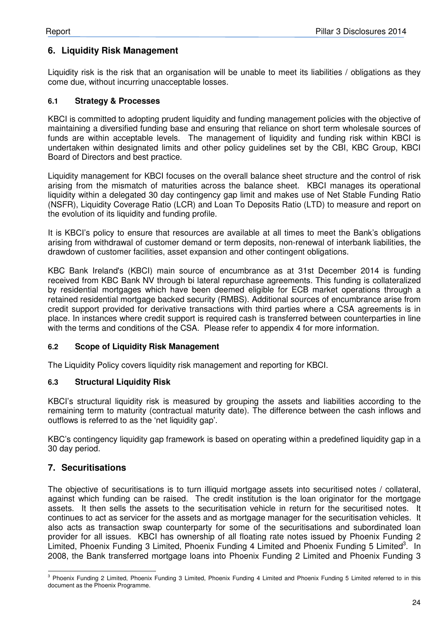# **6. Liquidity Risk Management**

Liquidity risk is the risk that an organisation will be unable to meet its liabilities / obligations as they come due, without incurring unacceptable losses.

#### **6.1 Strategy & Processes**

KBCI is committed to adopting prudent liquidity and funding management policies with the objective of maintaining a diversified funding base and ensuring that reliance on short term wholesale sources of funds are within acceptable levels. The management of liquidity and funding risk within KBCI is undertaken within designated limits and other policy guidelines set by the CBI, KBC Group, KBCI Board of Directors and best practice.

Liquidity management for KBCI focuses on the overall balance sheet structure and the control of risk arising from the mismatch of maturities across the balance sheet. KBCI manages its operational liquidity within a delegated 30 day contingency gap limit and makes use of Net Stable Funding Ratio (NSFR), Liquidity Coverage Ratio (LCR) and Loan To Deposits Ratio (LTD) to measure and report on the evolution of its liquidity and funding profile.

It is KBCI's policy to ensure that resources are available at all times to meet the Bank's obligations arising from withdrawal of customer demand or term deposits, non-renewal of interbank liabilities, the drawdown of customer facilities, asset expansion and other contingent obligations.

KBC Bank Ireland's (KBCI) main source of encumbrance as at 31st December 2014 is funding received from KBC Bank NV through bi lateral repurchase agreements. This funding is collateralized by residential mortgages which have been deemed eligible for ECB market operations through a retained residential mortgage backed security (RMBS). Additional sources of encumbrance arise from credit support provided for derivative transactions with third parties where a CSA agreements is in place. In instances where credit support is required cash is transferred between counterparties in line with the terms and conditions of the CSA. Please refer to appendix 4 for more information.

#### **6.2 Scope of Liquidity Risk Management**

The Liquidity Policy covers liquidity risk management and reporting for KBCI.

## **6.3 Structural Liquidity Risk**

KBCI's structural liquidity risk is measured by grouping the assets and liabilities according to the remaining term to maturity (contractual maturity date). The difference between the cash inflows and outflows is referred to as the 'net liquidity gap'.

KBC's contingency liquidity gap framework is based on operating within a predefined liquidity gap in a 30 day period.

# **7. Securitisations**

The objective of securitisations is to turn illiquid mortgage assets into securitised notes / collateral, against which funding can be raised. The credit institution is the loan originator for the mortgage assets. It then sells the assets to the securitisation vehicle in return for the securitised notes. It continues to act as servicer for the assets and as mortgage manager for the securitisation vehicles. It also acts as transaction swap counterparty for some of the securitisations and subordinated loan provider for all issues. KBCI has ownership of all floating rate notes issued by Phoenix Funding 2 Limited, Phoenix Funding 3 Limited, Phoenix Funding 4 Limited and Phoenix Funding 5 Limited<sup>3</sup>. In 2008, the Bank transferred mortgage loans into Phoenix Funding 2 Limited and Phoenix Funding 3

 3 Phoenix Funding 2 Limited, Phoenix Funding 3 Limited, Phoenix Funding 4 Limited and Phoenix Funding 5 Limited referred to in this document as the Phoenix Programme.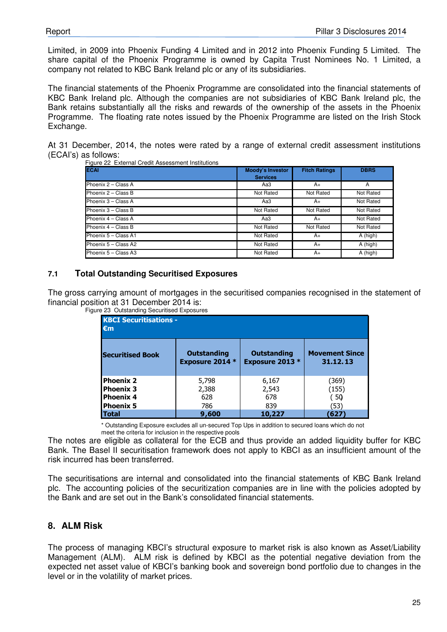Limited, in 2009 into Phoenix Funding 4 Limited and in 2012 into Phoenix Funding 5 Limited. The share capital of the Phoenix Programme is owned by Capita Trust Nominees No. 1 Limited, a company not related to KBC Bank Ireland plc or any of its subsidiaries.

The financial statements of the Phoenix Programme are consolidated into the financial statements of KBC Bank Ireland plc. Although the companies are not subsidiaries of KBC Bank Ireland plc, the Bank retains substantially all the risks and rewards of the ownership of the assets in the Phoenix Programme. The floating rate notes issued by the Phoenix Programme are listed on the Irish Stock Exchange.

At 31 December, 2014, the notes were rated by a range of external credit assessment institutions (ECAI's) as follows:

| <b>ECAI</b>          | <b>Moody's Investor</b><br><b>Services</b> | <b>Fitch Ratings</b> | <b>DBRS</b> |
|----------------------|--------------------------------------------|----------------------|-------------|
| Phoenix 2 - Class A  | АаЗ                                        | A+                   | A           |
| Phoenix 2 - Class B  | Not Rated                                  | Not Rated            | Not Rated   |
| Phoenix 3 - Class A  | АаЗ                                        | A+                   | Not Rated   |
| Phoenix 3 - Class B  | Not Rated                                  | Not Rated            | Not Rated   |
| Phoenix 4 - Class A  | Aa3                                        | A+                   | Not Rated   |
| Phoenix 4 - Class B  | Not Rated                                  | Not Rated            | Not Rated   |
| Phoenix 5 - Class A1 | Not Rated                                  | A+                   | A (high)    |
| Phoenix 5 - Class A2 | Not Rated                                  | A+                   | A (high)    |
| Phoenix 5 - Class A3 | Not Rated                                  | A+                   | A (high)    |

nal Credit Assessment Institutions

#### **7.1 Total Outstanding Securitised Exposures**

The gross carrying amount of mortgages in the securitised companies recognised in the statement of financial position at 31 December 2014 is:

| <b>KBCI Securitisations -</b><br>$\epsilon$ m |                        |                        |                       |  |  |
|-----------------------------------------------|------------------------|------------------------|-----------------------|--|--|
| <b>Securitised Book</b>                       | <b>Outstanding</b>     | <b>Outstanding</b>     | <b>Movement Since</b> |  |  |
|                                               | <b>Exposure 2014 *</b> | <b>Exposure 2013</b> * | 31.12.13              |  |  |
| <b>Phoenix 2</b>                              | 5,798                  | 6,167                  | (369)                 |  |  |
| <b>Phoenix 3</b>                              | 2,388                  | 2,543                  | (155)                 |  |  |
| <b>Phoenix 4</b>                              | 628                    | 678                    | (50)                  |  |  |
| <b>Phoenix 5</b>                              | 786                    | 839                    | (53)                  |  |  |
| <b>Total</b>                                  | 9,600                  | 10,227                 | 627                   |  |  |

Figure 23 Outstanding Securitised Exposures

\* Outstanding Exposure excludes all un-secured Top Ups in addition to secured loans which do not meet the criteria for inclusion in the respective pools

The notes are eligible as collateral for the ECB and thus provide an added liquidity buffer for KBC Bank. The Basel II securitisation framework does not apply to KBCI as an insufficient amount of the risk incurred has been transferred.

The securitisations are internal and consolidated into the financial statements of KBC Bank Ireland plc. The accounting policies of the securitization companies are in line with the policies adopted by the Bank and are set out in the Bank's consolidated financial statements.

# **8. ALM Risk**

The process of managing KBCI's structural exposure to market risk is also known as Asset/Liability Management (ALM). ALM risk is defined by KBCI as the potential negative deviation from the expected net asset value of KBCI's banking book and sovereign bond portfolio due to changes in the level or in the volatility of market prices.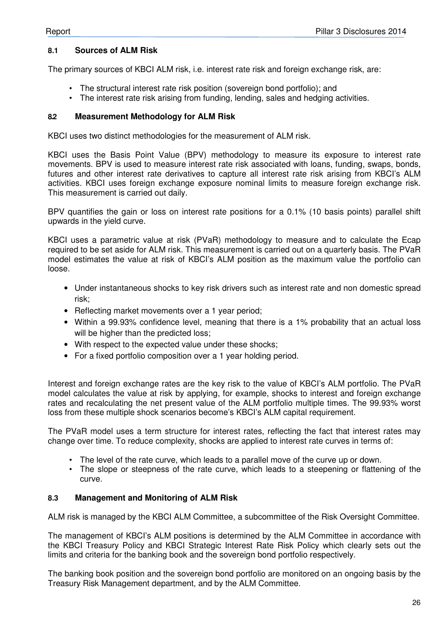#### **8.1 Sources of ALM Risk**

The primary sources of KBCI ALM risk, i.e. interest rate risk and foreign exchange risk, are:

- The structural interest rate risk position (sovereign bond portfolio); and
- The interest rate risk arising from funding, lending, sales and hedging activities.

#### **8.2 Measurement Methodology for ALM Risk**

KBCI uses two distinct methodologies for the measurement of ALM risk.

KBCI uses the Basis Point Value (BPV) methodology to measure its exposure to interest rate movements. BPV is used to measure interest rate risk associated with loans, funding, swaps, bonds, futures and other interest rate derivatives to capture all interest rate risk arising from KBCI's ALM activities. KBCI uses foreign exchange exposure nominal limits to measure foreign exchange risk. This measurement is carried out daily.

BPV quantifies the gain or loss on interest rate positions for a 0.1% (10 basis points) parallel shift upwards in the yield curve.

KBCI uses a parametric value at risk (PVaR) methodology to measure and to calculate the Ecap required to be set aside for ALM risk. This measurement is carried out on a quarterly basis. The PVaR model estimates the value at risk of KBCI's ALM position as the maximum value the portfolio can loose.

- Under instantaneous shocks to key risk drivers such as interest rate and non domestic spread risk;
- Reflecting market movements over a 1 year period;
- Within a 99.93% confidence level, meaning that there is a 1% probability that an actual loss will be higher than the predicted loss;
- With respect to the expected value under these shocks;
- For a fixed portfolio composition over a 1 year holding period.

Interest and foreign exchange rates are the key risk to the value of KBCI's ALM portfolio. The PVaR model calculates the value at risk by applying, for example, shocks to interest and foreign exchange rates and recalculating the net present value of the ALM portfolio multiple times. The 99.93% worst loss from these multiple shock scenarios become's KBCI's ALM capital requirement.

The PVaR model uses a term structure for interest rates, reflecting the fact that interest rates may change over time. To reduce complexity, shocks are applied to interest rate curves in terms of:

- The level of the rate curve, which leads to a parallel move of the curve up or down.
- The slope or steepness of the rate curve, which leads to a steepening or flattening of the curve.

#### **8.3 Management and Monitoring of ALM Risk**

ALM risk is managed by the KBCI ALM Committee, a subcommittee of the Risk Oversight Committee.

The management of KBCI's ALM positions is determined by the ALM Committee in accordance with the KBCI Treasury Policy and KBCI Strategic Interest Rate Risk Policy which clearly sets out the limits and criteria for the banking book and the sovereign bond portfolio respectively.

The banking book position and the sovereign bond portfolio are monitored on an ongoing basis by the Treasury Risk Management department, and by the ALM Committee.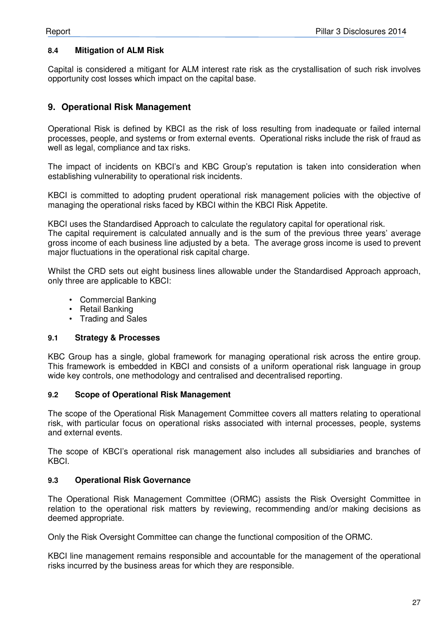#### **8.4 Mitigation of ALM Risk**

Capital is considered a mitigant for ALM interest rate risk as the crystallisation of such risk involves opportunity cost losses which impact on the capital base.

## **9. Operational Risk Management**

Operational Risk is defined by KBCI as the risk of loss resulting from inadequate or failed internal processes, people, and systems or from external events. Operational risks include the risk of fraud as well as legal, compliance and tax risks.

The impact of incidents on KBCI's and KBC Group's reputation is taken into consideration when establishing vulnerability to operational risk incidents.

KBCI is committed to adopting prudent operational risk management policies with the objective of managing the operational risks faced by KBCI within the KBCI Risk Appetite.

KBCI uses the Standardised Approach to calculate the regulatory capital for operational risk.

The capital requirement is calculated annually and is the sum of the previous three years' average gross income of each business line adjusted by a beta. The average gross income is used to prevent major fluctuations in the operational risk capital charge.

Whilst the CRD sets out eight business lines allowable under the Standardised Approach approach, only three are applicable to KBCI:

- Commercial Banking
- Retail Banking
- Trading and Sales

#### **9.1 Strategy & Processes**

KBC Group has a single, global framework for managing operational risk across the entire group. This framework is embedded in KBCI and consists of a uniform operational risk language in group wide key controls, one methodology and centralised and decentralised reporting.

#### **9.2 Scope of Operational Risk Management**

The scope of the Operational Risk Management Committee covers all matters relating to operational risk, with particular focus on operational risks associated with internal processes, people, systems and external events.

The scope of KBCI's operational risk management also includes all subsidiaries and branches of KBCI.

#### **9.3 Operational Risk Governance**

The Operational Risk Management Committee (ORMC) assists the Risk Oversight Committee in relation to the operational risk matters by reviewing, recommending and/or making decisions as deemed appropriate.

Only the Risk Oversight Committee can change the functional composition of the ORMC.

KBCI line management remains responsible and accountable for the management of the operational risks incurred by the business areas for which they are responsible.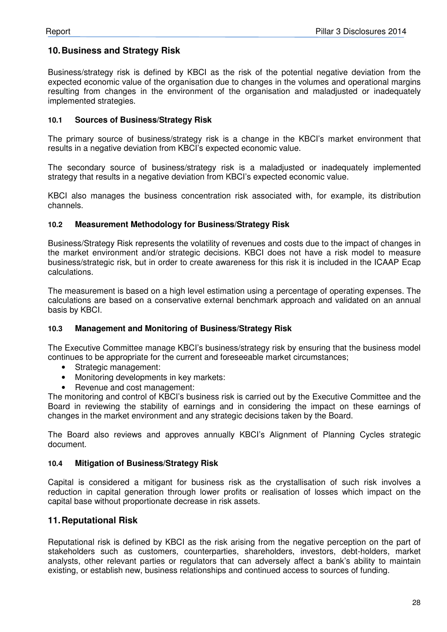## **10. Business and Strategy Risk**

Business/strategy risk is defined by KBCI as the risk of the potential negative deviation from the expected economic value of the organisation due to changes in the volumes and operational margins resulting from changes in the environment of the organisation and maladjusted or inadequately implemented strategies.

#### **10.1 Sources of Business/Strategy Risk**

The primary source of business/strategy risk is a change in the KBCI's market environment that results in a negative deviation from KBCI's expected economic value.

The secondary source of business/strategy risk is a maladjusted or inadequately implemented strategy that results in a negative deviation from KBCI's expected economic value.

KBCI also manages the business concentration risk associated with, for example, its distribution channels.

#### **10.2 Measurement Methodology for Business/Strategy Risk**

Business/Strategy Risk represents the volatility of revenues and costs due to the impact of changes in the market environment and/or strategic decisions. KBCI does not have a risk model to measure business/strategic risk, but in order to create awareness for this risk it is included in the ICAAP Ecap calculations.

The measurement is based on a high level estimation using a percentage of operating expenses. The calculations are based on a conservative external benchmark approach and validated on an annual basis by KBCI.

## **10.3 Management and Monitoring of Business/Strategy Risk**

The Executive Committee manage KBCI's business/strategy risk by ensuring that the business model continues to be appropriate for the current and foreseeable market circumstances;

- Strategic management:
- Monitoring developments in key markets:
- Revenue and cost management:

The monitoring and control of KBCI's business risk is carried out by the Executive Committee and the Board in reviewing the stability of earnings and in considering the impact on these earnings of changes in the market environment and any strategic decisions taken by the Board.

The Board also reviews and approves annually KBCI's Alignment of Planning Cycles strategic document.

#### **10.4 Mitigation of Business/Strategy Risk**

Capital is considered a mitigant for business risk as the crystallisation of such risk involves a reduction in capital generation through lower profits or realisation of losses which impact on the capital base without proportionate decrease in risk assets.

# **11. Reputational Risk**

Reputational risk is defined by KBCI as the risk arising from the negative perception on the part of stakeholders such as customers, counterparties, shareholders, investors, debt-holders, market analysts, other relevant parties or regulators that can adversely affect a bank's ability to maintain existing, or establish new, business relationships and continued access to sources of funding.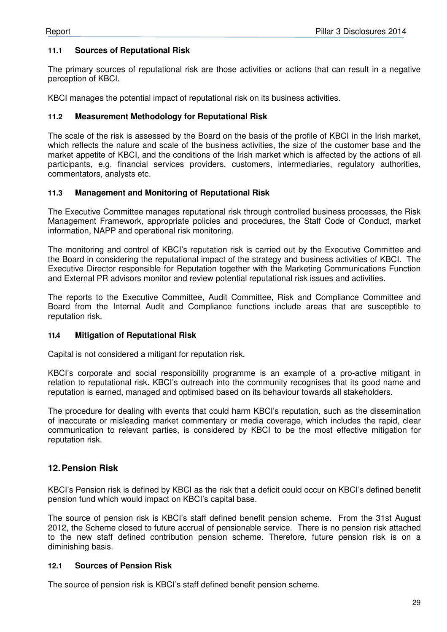## **11.1 Sources of Reputational Risk**

The primary sources of reputational risk are those activities or actions that can result in a negative perception of KBCI.

KBCI manages the potential impact of reputational risk on its business activities.

#### **11.2 Measurement Methodology for Reputational Risk**

The scale of the risk is assessed by the Board on the basis of the profile of KBCI in the Irish market, which reflects the nature and scale of the business activities, the size of the customer base and the market appetite of KBCI, and the conditions of the Irish market which is affected by the actions of all participants, e.g. financial services providers, customers, intermediaries, regulatory authorities, commentators, analysts etc.

#### **11.3 Management and Monitoring of Reputational Risk**

The Executive Committee manages reputational risk through controlled business processes, the Risk Management Framework, appropriate policies and procedures, the Staff Code of Conduct, market information, NAPP and operational risk monitoring.

The monitoring and control of KBCI's reputation risk is carried out by the Executive Committee and the Board in considering the reputational impact of the strategy and business activities of KBCI. The Executive Director responsible for Reputation together with the Marketing Communications Function and External PR advisors monitor and review potential reputational risk issues and activities.

The reports to the Executive Committee, Audit Committee, Risk and Compliance Committee and Board from the Internal Audit and Compliance functions include areas that are susceptible to reputation risk.

#### **11.4 Mitigation of Reputational Risk**

Capital is not considered a mitigant for reputation risk.

KBCI's corporate and social responsibility programme is an example of a pro-active mitigant in relation to reputational risk. KBCI's outreach into the community recognises that its good name and reputation is earned, managed and optimised based on its behaviour towards all stakeholders.

The procedure for dealing with events that could harm KBCI's reputation, such as the dissemination of inaccurate or misleading market commentary or media coverage, which includes the rapid, clear communication to relevant parties, is considered by KBCI to be the most effective mitigation for reputation risk.

## **12. Pension Risk**

KBCI's Pension risk is defined by KBCI as the risk that a deficit could occur on KBCI's defined benefit pension fund which would impact on KBCI's capital base.

The source of pension risk is KBCI's staff defined benefit pension scheme. From the 31st August 2012, the Scheme closed to future accrual of pensionable service. There is no pension risk attached to the new staff defined contribution pension scheme. Therefore, future pension risk is on a diminishing basis.

#### **12.1 Sources of Pension Risk**

The source of pension risk is KBCI's staff defined benefit pension scheme.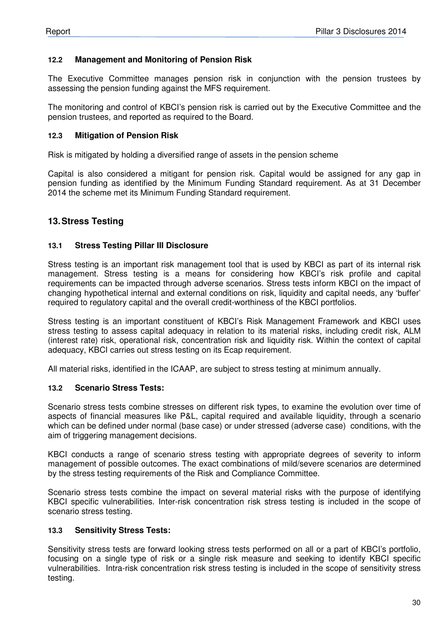## **12.2 Management and Monitoring of Pension Risk**

The Executive Committee manages pension risk in conjunction with the pension trustees by assessing the pension funding against the MFS requirement.

The monitoring and control of KBCI's pension risk is carried out by the Executive Committee and the pension trustees, and reported as required to the Board.

#### **12.3 Mitigation of Pension Risk**

Risk is mitigated by holding a diversified range of assets in the pension scheme

Capital is also considered a mitigant for pension risk. Capital would be assigned for any gap in pension funding as identified by the Minimum Funding Standard requirement. As at 31 December 2014 the scheme met its Minimum Funding Standard requirement.

# **13. Stress Testing**

#### **13.1 Stress Testing Pillar III Disclosure**

Stress testing is an important risk management tool that is used by KBCI as part of its internal risk management. Stress testing is a means for considering how KBCI's risk profile and capital requirements can be impacted through adverse scenarios. Stress tests inform KBCI on the impact of changing hypothetical internal and external conditions on risk, liquidity and capital needs, any 'buffer' required to regulatory capital and the overall credit-worthiness of the KBCI portfolios.

Stress testing is an important constituent of KBCI's Risk Management Framework and KBCI uses stress testing to assess capital adequacy in relation to its material risks, including credit risk, ALM (interest rate) risk, operational risk, concentration risk and liquidity risk. Within the context of capital adequacy, KBCI carries out stress testing on its Ecap requirement.

All material risks, identified in the ICAAP, are subject to stress testing at minimum annually.

#### **13.2 Scenario Stress Tests:**

Scenario stress tests combine stresses on different risk types, to examine the evolution over time of aspects of financial measures like P&L, capital required and available liquidity, through a scenario which can be defined under normal (base case) or under stressed (adverse case) conditions, with the aim of triggering management decisions.

KBCI conducts a range of scenario stress testing with appropriate degrees of severity to inform management of possible outcomes. The exact combinations of mild/severe scenarios are determined by the stress testing requirements of the Risk and Compliance Committee.

Scenario stress tests combine the impact on several material risks with the purpose of identifying KBCI specific vulnerabilities. Inter-risk concentration risk stress testing is included in the scope of scenario stress testing.

#### **13.3 Sensitivity Stress Tests:**

Sensitivity stress tests are forward looking stress tests performed on all or a part of KBCI's portfolio, focusing on a single type of risk or a single risk measure and seeking to identify KBCI specific vulnerabilities. Intra-risk concentration risk stress testing is included in the scope of sensitivity stress testing.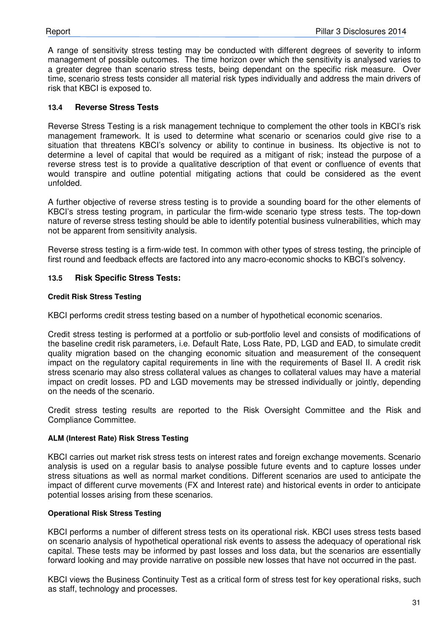A range of sensitivity stress testing may be conducted with different degrees of severity to inform management of possible outcomes. The time horizon over which the sensitivity is analysed varies to a greater degree than scenario stress tests, being dependant on the specific risk measure. Over time, scenario stress tests consider all material risk types individually and address the main drivers of risk that KBCI is exposed to.

#### **13.4 Reverse Stress Tests**

Reverse Stress Testing is a risk management technique to complement the other tools in KBCI's risk management framework. It is used to determine what scenario or scenarios could give rise to a situation that threatens KBCI's solvency or ability to continue in business. Its objective is not to determine a level of capital that would be required as a mitigant of risk; instead the purpose of a reverse stress test is to provide a qualitative description of that event or confluence of events that would transpire and outline potential mitigating actions that could be considered as the event unfolded.

A further objective of reverse stress testing is to provide a sounding board for the other elements of KBCI's stress testing program, in particular the firm-wide scenario type stress tests. The top-down nature of reverse stress testing should be able to identify potential business vulnerabilities, which may not be apparent from sensitivity analysis.

Reverse stress testing is a firm-wide test. In common with other types of stress testing, the principle of first round and feedback effects are factored into any macro-economic shocks to KBCI's solvency.

#### **13.5 Risk Specific Stress Tests:**

#### **Credit Risk Stress Testing**

KBCI performs credit stress testing based on a number of hypothetical economic scenarios.

Credit stress testing is performed at a portfolio or sub-portfolio level and consists of modifications of the baseline credit risk parameters, i.e. Default Rate, Loss Rate, PD, LGD and EAD, to simulate credit quality migration based on the changing economic situation and measurement of the consequent impact on the regulatory capital requirements in line with the requirements of Basel II. A credit risk stress scenario may also stress collateral values as changes to collateral values may have a material impact on credit losses. PD and LGD movements may be stressed individually or jointly, depending on the needs of the scenario.

Credit stress testing results are reported to the Risk Oversight Committee and the Risk and Compliance Committee.

#### **ALM (Interest Rate) Risk Stress Testing**

KBCI carries out market risk stress tests on interest rates and foreign exchange movements. Scenario analysis is used on a regular basis to analyse possible future events and to capture losses under stress situations as well as normal market conditions. Different scenarios are used to anticipate the impact of different curve movements (FX and Interest rate) and historical events in order to anticipate potential losses arising from these scenarios.

#### **Operational Risk Stress Testing**

KBCI performs a number of different stress tests on its operational risk. KBCI uses stress tests based on scenario analysis of hypothetical operational risk events to assess the adequacy of operational risk capital. These tests may be informed by past losses and loss data, but the scenarios are essentially forward looking and may provide narrative on possible new losses that have not occurred in the past.

KBCI views the Business Continuity Test as a critical form of stress test for key operational risks, such as staff, technology and processes.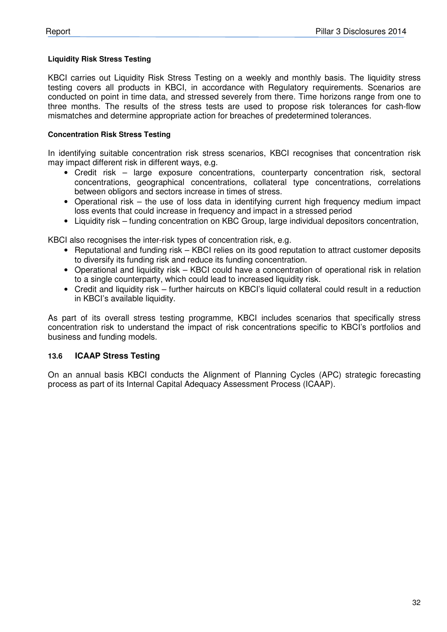#### **Liquidity Risk Stress Testing**

KBCI carries out Liquidity Risk Stress Testing on a weekly and monthly basis. The liquidity stress testing covers all products in KBCI, in accordance with Regulatory requirements. Scenarios are conducted on point in time data, and stressed severely from there. Time horizons range from one to three months. The results of the stress tests are used to propose risk tolerances for cash-flow mismatches and determine appropriate action for breaches of predetermined tolerances.

#### **Concentration Risk Stress Testing**

In identifying suitable concentration risk stress scenarios, KBCI recognises that concentration risk may impact different risk in different ways, e.g.

- Credit risk large exposure concentrations, counterparty concentration risk, sectoral concentrations, geographical concentrations, collateral type concentrations, correlations between obligors and sectors increase in times of stress.
- Operational risk the use of loss data in identifying current high frequency medium impact loss events that could increase in frequency and impact in a stressed period
- Liquidity risk funding concentration on KBC Group, large individual depositors concentration,

KBCI also recognises the inter-risk types of concentration risk, e.g.

- Reputational and funding risk KBCI relies on its good reputation to attract customer deposits to diversify its funding risk and reduce its funding concentration.
- Operational and liquidity risk KBCI could have a concentration of operational risk in relation to a single counterparty, which could lead to increased liquidity risk.
- Credit and liquidity risk further haircuts on KBCI's liquid collateral could result in a reduction in KBCI's available liquidity.

As part of its overall stress testing programme, KBCI includes scenarios that specifically stress concentration risk to understand the impact of risk concentrations specific to KBCI's portfolios and business and funding models.

## **13.6 ICAAP Stress Testing**

On an annual basis KBCI conducts the Alignment of Planning Cycles (APC) strategic forecasting process as part of its Internal Capital Adequacy Assessment Process (ICAAP).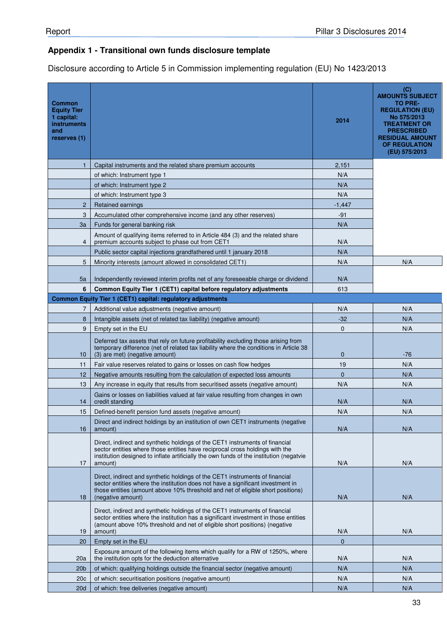# **Appendix 1 - Transitional own funds disclosure template**

Disclosure according to Article 5 in Commission implementing regulation (EU) No 1423/2013

| <b>Common</b><br><b>Equity Tier</b><br>1 capital:<br><b>instruments</b><br>and<br>reserves (1) |                                                                                                                                                                                                                                                                         | 2014         | (C)<br><b>AMOUNTS SUBJECT</b><br>TO PRE-<br><b>REGULATION (EU)</b><br>No 575/2013<br><b>TREATMENT OR</b><br><b>PRESCRIBED</b><br><b>RESIDUAL AMOUNT</b><br><b>OF REGULATION</b><br>(EU) 575/2013 |
|------------------------------------------------------------------------------------------------|-------------------------------------------------------------------------------------------------------------------------------------------------------------------------------------------------------------------------------------------------------------------------|--------------|--------------------------------------------------------------------------------------------------------------------------------------------------------------------------------------------------|
| $\mathbf{1}$                                                                                   | Capital instruments and the related share premium accounts                                                                                                                                                                                                              | 2,151        |                                                                                                                                                                                                  |
|                                                                                                | of which: Instrument type 1                                                                                                                                                                                                                                             | N/A          |                                                                                                                                                                                                  |
|                                                                                                | of which: Instrument type 2                                                                                                                                                                                                                                             | N/A          |                                                                                                                                                                                                  |
|                                                                                                | of which: Instrument type 3                                                                                                                                                                                                                                             | N/A          |                                                                                                                                                                                                  |
| $\overline{2}$                                                                                 | Retained earnings                                                                                                                                                                                                                                                       | $-1,447$     |                                                                                                                                                                                                  |
| 3                                                                                              | Accumulated other comprehensive income (and any other reserves)                                                                                                                                                                                                         | $-91$        |                                                                                                                                                                                                  |
| 3a                                                                                             | Funds for general banking risk                                                                                                                                                                                                                                          | N/A          |                                                                                                                                                                                                  |
| 4                                                                                              | Amount of qualifying items referred to in Article 484 (3) and the related share<br>premium accounts subject to phase out from CET1                                                                                                                                      | N/A          |                                                                                                                                                                                                  |
|                                                                                                | Public sector capital injections grandfathered until 1 january 2018                                                                                                                                                                                                     | N/A          |                                                                                                                                                                                                  |
| 5                                                                                              | Minority interests (amount allowed in consolidated CET1)                                                                                                                                                                                                                | N/A          | N/A                                                                                                                                                                                              |
| 5a                                                                                             | Independently reviewed interim profits net of any foreseeable charge or dividend                                                                                                                                                                                        | N/A          |                                                                                                                                                                                                  |
| 6                                                                                              | Common Equity Tier 1 (CET1) capital before regulatory adjustments                                                                                                                                                                                                       | 613          |                                                                                                                                                                                                  |
|                                                                                                | Common Equity Tier 1 (CET1) capital: regulatory adjustments                                                                                                                                                                                                             |              |                                                                                                                                                                                                  |
| 7                                                                                              | Additional value adjustments (negative amount)                                                                                                                                                                                                                          | N/A          | N/A                                                                                                                                                                                              |
| 8                                                                                              | Intangible assets (net of related tax liability) (negative amount)                                                                                                                                                                                                      | $-32$        | N/A                                                                                                                                                                                              |
| 9                                                                                              | Empty set in the EU                                                                                                                                                                                                                                                     | 0            | N/A                                                                                                                                                                                              |
| 10                                                                                             | Deferred tax assets that rely on future profitability excluding those arising from<br>temporary difference (net of related tax liability where the conditions in Article 38<br>(3) are met) (negative amount)                                                           | 0            | $-76$                                                                                                                                                                                            |
| 11                                                                                             | Fair value reserves related to gains or losses on cash flow hedges                                                                                                                                                                                                      | 19           | N/A                                                                                                                                                                                              |
| 12                                                                                             | Negative amounts resulting from the calculation of expected loss amounts                                                                                                                                                                                                | $\mathbf{0}$ | N/A                                                                                                                                                                                              |
| 13                                                                                             | Any increase in equity that results from securitised assets (negative amount)                                                                                                                                                                                           | N/A          | N/A                                                                                                                                                                                              |
| 14                                                                                             | Gains or losses on liabilities valued at fair value resulting from changes in own<br>credit standing                                                                                                                                                                    | N/A          | N/A                                                                                                                                                                                              |
| 15                                                                                             | Defined-benefit pension fund assets (negative amount)                                                                                                                                                                                                                   | N/A          | N/A                                                                                                                                                                                              |
| 16                                                                                             | Direct and indirect holdings by an institution of own CET1 instruments (negative<br>amount)                                                                                                                                                                             | N/A          | N/A                                                                                                                                                                                              |
| 17                                                                                             | Direct, indirect and synthetic holdings of the CET1 instruments of financial<br>sector entities where those entities have reciprocal cross holdings with the<br>institution designed to inflate artificially the own funds of the institution (negatvie<br>amount)      | N/A          | N/A                                                                                                                                                                                              |
| 18                                                                                             | Direct, indirect and synthetic holdings of the CET1 instruments of financial<br>sector entities where the institution does not have a significant investment in<br>those entities (amount above 10% threshold and net of eligible short positions)<br>(negative amount) | N/A          | N/A                                                                                                                                                                                              |
| 19                                                                                             | Direct, indirect and synthetic holdings of the CET1 instruments of financial<br>sector entities where the institution has a significant investment in those entities<br>(amount above 10% threshold and net of eligible short positions) (negative<br>amount)           | N/A          | N/A                                                                                                                                                                                              |
| 20                                                                                             | Empty set in the EU                                                                                                                                                                                                                                                     | $\mathbf{0}$ |                                                                                                                                                                                                  |
| 20a                                                                                            | Exposure amount of the following items which qualify for a RW of 1250%, where<br>the institution opts for the deduction alternative                                                                                                                                     | N/A          | N/A                                                                                                                                                                                              |
| 20 <sub>b</sub>                                                                                | of which: qualifying holdings outside the financial sector (negative amount)                                                                                                                                                                                            | N/A          | N/A                                                                                                                                                                                              |
| 20c                                                                                            | of which: securitisation positions (negative amount)                                                                                                                                                                                                                    | N/A          | N/A                                                                                                                                                                                              |
| <b>20d</b>                                                                                     | of which: free deliveries (negative amount)                                                                                                                                                                                                                             | N/A          | N/A                                                                                                                                                                                              |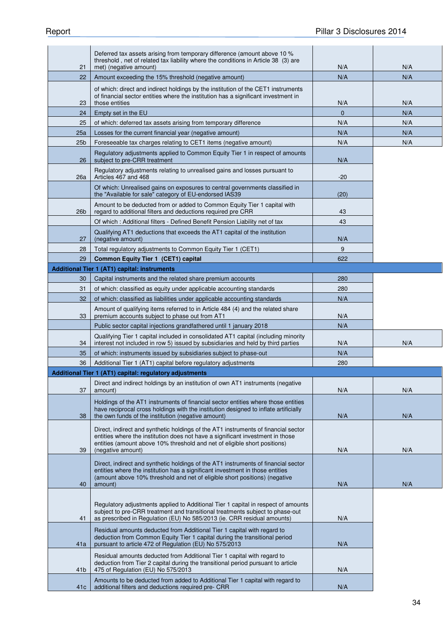|                 | Deferred tax assets arising from temporary difference (amount above 10 %<br>threshold, net of related tax liability where the conditions in Article 38 (3) are                                                                                    |              |            |
|-----------------|---------------------------------------------------------------------------------------------------------------------------------------------------------------------------------------------------------------------------------------------------|--------------|------------|
| 21<br>22        | met) (negative amount)<br>Amount exceeding the 15% threshold (negative amount)                                                                                                                                                                    | N/A<br>N/A   | N/A<br>N/A |
|                 |                                                                                                                                                                                                                                                   |              |            |
| 23              | of which: direct and indirect holdings by the institution of the CET1 instruments<br>of financial sector entities where the institution has a significant investment in<br>those entities                                                         | N/A          | N/A        |
| 24              | Empty set in the EU                                                                                                                                                                                                                               | $\mathbf{0}$ | N/A        |
| 25              | of which: deferred tax assets arising from temporary difference                                                                                                                                                                                   | N/A          | N/A        |
| 25a             | Losses for the current financial year (negative amount)                                                                                                                                                                                           | N/A          | N/A        |
| 25 <sub>b</sub> | Foreseeable tax charges relating to CET1 items (negative amount)                                                                                                                                                                                  | N/A          | N/A        |
| 26              | Regulatory adjustments applied to Common Equity Tier 1 in respect of amounts<br>subject to pre-CRR treatment                                                                                                                                      | N/A          |            |
| 26a             | Regulatory adjustments relating to unrealised gains and losses pursuant to<br>Articles 467 and 468                                                                                                                                                | $-20$        |            |
|                 | Of which: Unrealised gains on exposures to central governments classified in<br>the "Available for sale" category of EU-endorsed IAS39                                                                                                            | (20)         |            |
| 26b             | Amount to be deducted from or added to Common Equity Tier 1 capital with<br>regard to additional filters and deductions required pre CRR                                                                                                          | 43           |            |
|                 | Of which: Additional filters - Defined Benefit Pension Liability net of tax                                                                                                                                                                       | 43           |            |
| 27              | Qualifying AT1 deductions that exceeds the AT1 capital of the institution<br>(negative amount)                                                                                                                                                    | N/A          |            |
| 28              | Total regulatory adjustments to Common Equity Tier 1 (CET1)                                                                                                                                                                                       | 9            |            |
| 29              | Common Equity Tier 1 (CET1) capital                                                                                                                                                                                                               | 622          |            |
|                 | <b>Additional Tier 1 (AT1) capital: instruments</b>                                                                                                                                                                                               |              |            |
| 30              | Capital instruments and the related share premium accounts                                                                                                                                                                                        | 280          |            |
| 31              | of which: classified as equity under applicable accounting standards                                                                                                                                                                              | 280          |            |
| 32              | of which: classified as liabilities under applicable accounting standards                                                                                                                                                                         | N/A          |            |
| 33              | Amount of qualifying items referred to in Article 484 (4) and the related share<br>premium accounts subject to phase out from AT1                                                                                                                 | N/A          |            |
|                 | Public sector capital injections grandfathered until 1 january 2018                                                                                                                                                                               | N/A          |            |
| 34              | Qualifying Tier 1 capital included in consolidated AT1 capital (including minority<br>interest not included in row 5) issued by subsidiaries and held by third parties                                                                            | N/A          | N/A        |
| 35              | of which: instruments issued by subsidiaries subject to phase-out                                                                                                                                                                                 | N/A          |            |
| 36              | Additional Tier 1 (AT1) capital before regulatory adjustments                                                                                                                                                                                     | 280          |            |
|                 | Additional Tier 1 (AT1) capital: regulatory adjustments                                                                                                                                                                                           |              |            |
| 37              | Direct and indirect holdings by an institution of own AT1 instruments (negative<br>amount)                                                                                                                                                        | N/A          | N/A        |
|                 | Holdings of the AT1 instruments of financial sector entities where those entities<br>have reciprocal cross holdings with the institution designed to inflate artificially                                                                         |              |            |
| 38              | the own funds of the institution (negative amount)                                                                                                                                                                                                | N/A          | N/A        |
|                 | Direct, indirect and synthetic holdings of the AT1 instruments of financial sector<br>entities where the institution does not have a significant investment in those<br>entities (amount above 10% threshold and net of eligible short positions) |              |            |
| 39              | (negative amount)                                                                                                                                                                                                                                 | N/A          | N/A        |
|                 | Direct, indirect and synthetic holdings of the AT1 instruments of financial sector<br>entities where the institution has a significant investment in those entities<br>(amount above 10% threshold and net of eligible short positions) (negative |              |            |
| 40              | amount)                                                                                                                                                                                                                                           | N/A          | N/A        |
| 41              | Regulatory adjustments applied to Additional Tier 1 capital in respect of amounts<br>subject to pre-CRR treatment and transitional treatments subject to phase-out<br>as prescribed in Regulation (EU) No 585/2013 (ie. CRR residual amounts)     | N/A          |            |
| 41a             | Residual amounts deducted from Additional Tier 1 capital with regard to<br>deduction from Common Equity Tier 1 capital during the transitional period<br>pursuant to article 472 of Regulation (EU) No 575/2013                                   | N/A          |            |
| 41 <sub>b</sub> | Residual amounts deducted from Additional Tier 1 capital with regard to<br>deduction from Tier 2 capital during the transitional period pursuant to article<br>475 of Regulation (EU) No 575/2013                                                 | N/A          |            |
| 41c             | Amounts to be deducted from added to Additional Tier 1 capital with regard to<br>additional filters and deductions required pre- CRR                                                                                                              | N/A          |            |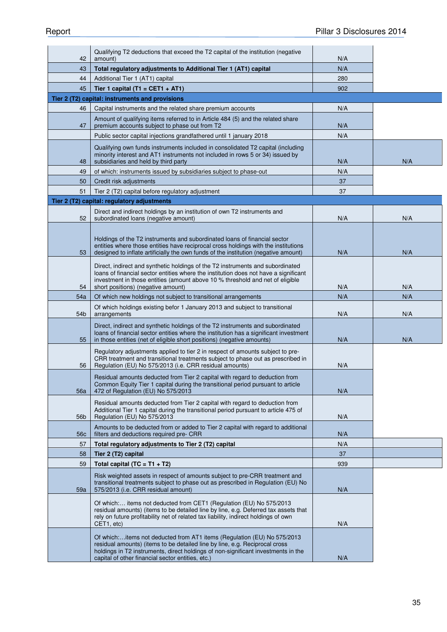| 42  | Qualifying T2 deductions that exceed the T2 capital of the institution (negative<br>amount)                                                                                                                                                                                                      | N/A |     |
|-----|--------------------------------------------------------------------------------------------------------------------------------------------------------------------------------------------------------------------------------------------------------------------------------------------------|-----|-----|
| 43  | Total regulatory adjustments to Additional Tier 1 (AT1) capital                                                                                                                                                                                                                                  | N/A |     |
| 44  | Additional Tier 1 (AT1) capital                                                                                                                                                                                                                                                                  | 280 |     |
| 45  | Tier 1 capital (T1 = CET1 + AT1)                                                                                                                                                                                                                                                                 | 902 |     |
|     | Tier 2 (T2) capital: instruments and provisions                                                                                                                                                                                                                                                  |     |     |
| 46  | Capital instruments and the related share premium accounts                                                                                                                                                                                                                                       | N/A |     |
| 47  | Amount of qualifying items referred to in Article 484 (5) and the related share<br>premium accounts subject to phase out from T2                                                                                                                                                                 | N/A |     |
|     | Public sector capital injections grandfathered until 1 january 2018                                                                                                                                                                                                                              | N/A |     |
| 48  | Qualifying own funds instruments included in consolidated T2 capital (including<br>minority interest and AT1 instruments not included in rows 5 or 34) issued by<br>subsidiaries and held by third party                                                                                         | N/A | N/A |
| 49  | of which: instruments issued by subsidiaries subject to phase-out                                                                                                                                                                                                                                | N/A |     |
| 50  | Credit risk adjustments                                                                                                                                                                                                                                                                          | 37  |     |
| 51  | Tier 2 (T2) capital before regulatory adjustment                                                                                                                                                                                                                                                 | 37  |     |
|     | Tier 2 (T2) capital: regulatory adjustments                                                                                                                                                                                                                                                      |     |     |
|     | Direct and indirect holdings by an institution of own T2 instruments and                                                                                                                                                                                                                         |     |     |
| 52  | subordinated loans (negative amount)                                                                                                                                                                                                                                                             | N/A | N/A |
| 53  | Holdings of the T2 instruments and subordinated loans of financial sector<br>entities where those entities have reciprocal cross holdings with the institutions<br>designed to inflate artificially the own funds of the institution (negative amount)                                           | N/A | N/A |
| 54  | Direct, indirect and synthetic holdings of the T2 instruments and subordinated<br>loans of financial sector entities where the institution does not have a significant<br>investment in those entities (amount above 10 % threshold and net of eligible<br>short positions) (negative amount)    | N/A | N/A |
| 54a | Of which new holdings not subject to transitional arrangements                                                                                                                                                                                                                                   | N/A | N/A |
| 54b | Of which holdings existing befor 1 January 2013 and subject to transitional<br>arrangements                                                                                                                                                                                                      | N/A | N/A |
| 55  | Direct, indirect and synthetic holdings of the T2 instruments and subordinated<br>loans of financial sector entities where the institution has a significant investment<br>in those entities (net of eligible short positions) (negative amounts)                                                | N/A | N/A |
| 56  | Regulatory adjustments applied to tier 2 in respect of amounts subject to pre-<br>CRR treatment and transitional treatments subject to phase out as prescribed in<br>Regulation (EU) No 575/2013 (i.e. CRR residual amounts)                                                                     | N/A |     |
| 56a | Residual amounts deducted from Tier 2 capital with regard to deduction from<br>Common Equity Tier 1 capital during the transitional period pursuant to article<br>472 of Regulation (EU) No 575/2013                                                                                             | N/A |     |
| 56b | Residual amounts deducted from Tier 2 capital with regard to deduction from<br>Additional Tier 1 capital during the transitional period pursuant to article 475 of<br>Regulation (EU) No 575/2013                                                                                                | N/A |     |
| 56c | Amounts to be deducted from or added to Tier 2 capital with regard to additional<br>filters and deductions required pre- CRR                                                                                                                                                                     | N/A |     |
| 57  | Total regulatory adjustments to Tier 2 (T2) capital                                                                                                                                                                                                                                              | N/A |     |
| 58  | Tier 2 (T2) capital                                                                                                                                                                                                                                                                              | 37  |     |
| 59  | Total capital $(TC = T1 + T2)$                                                                                                                                                                                                                                                                   | 939 |     |
| 59a | Risk weighted assets in respect of amounts subject to pre-CRR treatment and<br>transitional treatments subject to phase out as prescribed in Regulation (EU) No<br>575/2013 (i.e. CRR residual amount)                                                                                           | N/A |     |
|     | Of which: items not deducted from CET1 (Regulation (EU) No 575/2013<br>residual amounts) (items to be detailed line by line, e.g. Deferred tax assets that<br>rely on future profitability net of related tax liability, indirect holdings of own<br>CET1, etc)                                  | N/A |     |
|     | Of which:items not deducted from AT1 items (Regulation (EU) No 575/2013<br>residual amounts) (items to be detailed line by line, e.g. Reciprocal cross<br>holdings in T2 instruments, direct holdings of non-significant investments in the<br>capital of other financial sector entities, etc.) | N/A |     |
|     |                                                                                                                                                                                                                                                                                                  |     |     |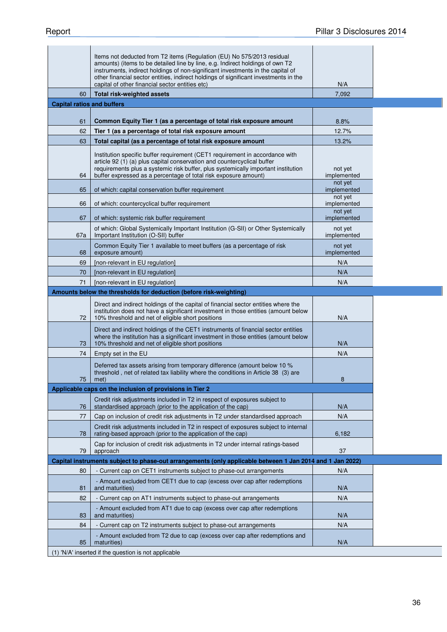|                                   | Items not deducted from T2 items (Regulation (EU) No 575/2013 residual<br>amounts) (items to be detailed line by line, e.g. Indirect holdings of own T2<br>instruments, indirect holdings of non-significant investments in the capital of<br>other financial sector entities, indirect holdings of significant investments in the<br>capital of other financial sector entities etc) | N/A                               |
|-----------------------------------|---------------------------------------------------------------------------------------------------------------------------------------------------------------------------------------------------------------------------------------------------------------------------------------------------------------------------------------------------------------------------------------|-----------------------------------|
| 60                                | Total risk-weighted assets                                                                                                                                                                                                                                                                                                                                                            | 7,092                             |
| <b>Capital ratios and buffers</b> |                                                                                                                                                                                                                                                                                                                                                                                       |                                   |
|                                   |                                                                                                                                                                                                                                                                                                                                                                                       |                                   |
| 61                                | Common Equity Tier 1 (as a percentage of total risk exposure amount                                                                                                                                                                                                                                                                                                                   | 8.8%                              |
| 62                                | Tier 1 (as a percentage of total risk exposure amount                                                                                                                                                                                                                                                                                                                                 | 12.7%                             |
| 63                                | Total capital (as a percentage of total risk exposure amount                                                                                                                                                                                                                                                                                                                          | 13.2%                             |
| 64                                | Institution specific buffer requirement (CET1 requirement in accordance with<br>article 92 (1) (a) plus capital conservation and countercyclical buffer<br>requirements plus a systemic risk buffer, plus systemically important institution<br>buffer expressed as a percentage of total risk exposure amount)                                                                       | not yet<br>implemented<br>not yet |
| 65                                | of which: capital conservation buffer requirement                                                                                                                                                                                                                                                                                                                                     | implemented                       |
| 66                                | of which: countercyclical buffer requirement                                                                                                                                                                                                                                                                                                                                          | not yet<br>implemented            |
| 67                                | of which: systemic risk buffer requirement                                                                                                                                                                                                                                                                                                                                            | not yet<br>implemented            |
| 67a                               | of which: Global Systemically Important Institution (G-SII) or Other Systemically<br>Important Institution (O-SII) buffer                                                                                                                                                                                                                                                             | not yet<br>implemented            |
| 68                                | Common Equity Tier 1 available to meet buffers (as a percentage of risk<br>exposure amount)                                                                                                                                                                                                                                                                                           | not yet<br>implemented            |
| 69                                | [non-relevant in EU regulation]                                                                                                                                                                                                                                                                                                                                                       | N/A                               |
| 70                                | [non-relevant in EU regulation]                                                                                                                                                                                                                                                                                                                                                       | N/A                               |
| 71                                | [non-relevant in EU regulation]                                                                                                                                                                                                                                                                                                                                                       | N/A                               |
|                                   | Amounts below the thresholds for deduction (before risk-weighting)                                                                                                                                                                                                                                                                                                                    |                                   |
| 72                                | Direct and indirect holdings of the capital of financial sector entities where the<br>institution does not have a significant investment in those entities (amount below<br>10% threshold and net of eligible short positions                                                                                                                                                         | N/A                               |
| 73                                | Direct and indirect holdings of the CET1 instruments of financial sector entities<br>where the institution has a significant investment in those entities (amount below<br>10% threshold and net of eligible short positions                                                                                                                                                          | N/A                               |
| 74                                | Empty set in the EU                                                                                                                                                                                                                                                                                                                                                                   | N/A                               |
| 75                                | Deferred tax assets arising from temporary difference (amount below 10 %<br>threshold, net of related tax liability where the conditions in Article 38 (3) are<br>met)                                                                                                                                                                                                                | 8                                 |
|                                   | Applicable caps on the inclusion of provisions in Tier 2                                                                                                                                                                                                                                                                                                                              |                                   |
| 76                                | Credit risk adjustments included in T2 in respect of exposures subject to<br>standardised approach (prior to the application of the cap)                                                                                                                                                                                                                                              | N/A                               |
| 77                                | Cap on inclusion of credit risk adjustments in T2 under standardised approach                                                                                                                                                                                                                                                                                                         | N/A                               |
| 78                                | Credit risk adjustments included in T2 in respect of exposures subject to internal<br>rating-based approach (prior to the application of the cap)                                                                                                                                                                                                                                     | 6,182                             |
| 79                                | Cap for inclusion of credit risk adjustments in T2 under internal ratings-based<br>approach                                                                                                                                                                                                                                                                                           | 37                                |
|                                   | Capital instruments subject to phase-out arrangements (only applicable between 1 Jan 2014 and 1 Jan 2022)                                                                                                                                                                                                                                                                             |                                   |
| 80                                | - Current cap on CET1 instruments subject to phase-out arrangements                                                                                                                                                                                                                                                                                                                   | N/A                               |
| 81                                | - Amount excluded from CET1 due to cap (excess over cap after redemptions<br>and maturities)                                                                                                                                                                                                                                                                                          | N/A                               |
| 82                                | - Current cap on AT1 instruments subject to phase-out arrangements                                                                                                                                                                                                                                                                                                                    | N/A                               |
| 83                                | - Amount excluded from AT1 due to cap (excess over cap after redemptions<br>and maturities)                                                                                                                                                                                                                                                                                           | N/A                               |
| 84                                | - Current cap on T2 instruments subject to phase-out arrangements                                                                                                                                                                                                                                                                                                                     | N/A                               |
| 85                                | - Amount excluded from T2 due to cap (excess over cap after redemptions and<br>maturities)                                                                                                                                                                                                                                                                                            | N/A                               |
|                                   | (1) 'N/A' inserted if the question is not applicable                                                                                                                                                                                                                                                                                                                                  |                                   |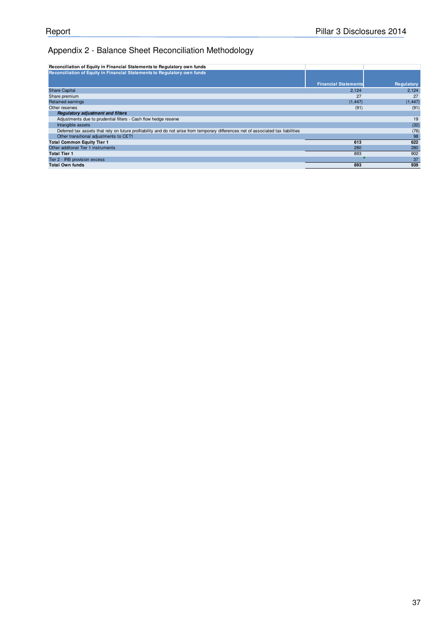# Appendix 2 - Balance Sheet Reconciliation Methodology

| Reconciliation of Equity in Financial Statements to Regulatory own funds                                                            |                             |            |
|-------------------------------------------------------------------------------------------------------------------------------------|-----------------------------|------------|
| Reconciliation of Equity in Financial Statements to Regulatory own funds                                                            |                             |            |
|                                                                                                                                     | <b>Financial Statements</b> | Regulatory |
| <b>Share Capital</b>                                                                                                                | 2.124                       | 2,124      |
| Share premium                                                                                                                       | 27                          | 27         |
| <b>Retained earnings</b>                                                                                                            | (1, 447)                    | (1, 447)   |
| Other reserves                                                                                                                      | (91)                        | (91)       |
| <b>Requiatory adjustment and filters</b>                                                                                            |                             |            |
| Adjustments due to prudential filters - Cash flow hedge reserve                                                                     |                             | 19         |
| Intangible assets                                                                                                                   |                             | (32)       |
| Deferred tax assets that rely on future profitability and do not arise from temporary differences net of associated tax liabilities |                             | (76)       |
| Other transitional adjustments to CET1                                                                                              |                             | 98         |
| <b>Total Common Equity Tier 1</b>                                                                                                   | 613                         | 622        |
| Other additonal Tier 1 instruments                                                                                                  | 280                         | 280        |
| <b>Total Tier 1</b>                                                                                                                 | 893                         | 902        |
| Tier 2 - IRB provision excess                                                                                                       |                             | 37         |
| <b>Total Own funds</b>                                                                                                              | 893                         | 939        |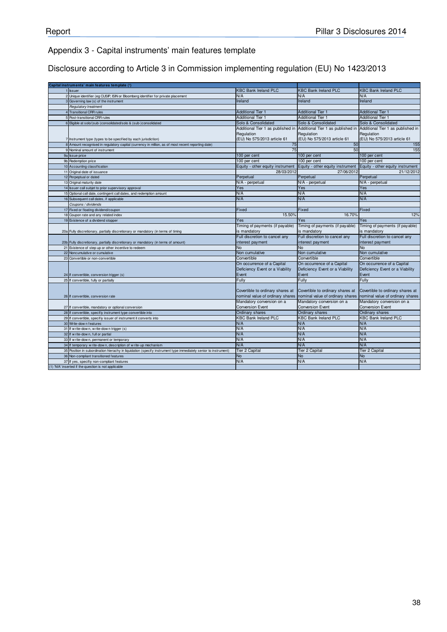# Appendix 3 - Capital instruments' main features template

Disclosure according to Article 3 in Commission implementing regulation (EU) No 1423/2013

|    | Capital instruments' main features template (1)                                                                 |                                                                     |                                  |                                   |
|----|-----------------------------------------------------------------------------------------------------------------|---------------------------------------------------------------------|----------------------------------|-----------------------------------|
|    | 1 Issuer                                                                                                        | <b>KBC Bank Ireland PLC</b>                                         | <b>KBC Bank Ireland PLC</b>      | <b>KBC Bank Ireland PLC</b>       |
|    | 2 Unique identifier (eg CUSIP, ISIN or Bloomberg identifier for private placement                               | N/A                                                                 | N/A                              | N/A                               |
|    | 3 Governing law (s) of the instrument                                                                           | Ireland                                                             | Ireland                          | Ireland                           |
|    | Regulatory treatment                                                                                            |                                                                     |                                  |                                   |
|    | <b>Transitional CRR rules</b>                                                                                   | <b>Additional Tier 1</b>                                            | <b>Additional Tier 1</b>         | <b>Additional Tier 1</b>          |
|    | 5 Post-transitional CRR rules                                                                                   | <b>Additional Tier 1</b>                                            | <b>Additional Tier 1</b>         | <b>Additional Tier 1</b>          |
|    | 6 Eigible at solo/(sub-)consolidated/solo & (sub-)consolidated                                                  | Solo & Consolidated                                                 | Solo & Consolidated              | Solo & Consolidated               |
|    |                                                                                                                 | Additional Tier 1 as published in Additional Tier 1 as published in |                                  | Additional Tier 1 as published in |
|    |                                                                                                                 | Regulation                                                          | Regulation                       | Regulation                        |
|    | 7 Instrument type (types to be specified by each jurisdiction)                                                  | (EU) No 575/2013 article 61                                         | (EU) No 575/2013 article 61      | (EU) No 575/2013 article 61       |
|    | 8 Amount recognised in regulatory capital (currency in million, as of most recent reporting date)               | 75                                                                  | 50                               | 155                               |
|    | 9 Nominal amount of instrument                                                                                  | 75                                                                  | 50                               | 155                               |
|    | 9a Issue price                                                                                                  | 100 per cent                                                        | 100 per cent                     | 100 per cent                      |
|    | 9b Redemption price                                                                                             | 100 per cent                                                        | 100 per cent                     | 100 per cent                      |
|    | 10 Accounting classification                                                                                    | Equity - other equity instrument                                    | Equity - other equity instrument | Equity - other equity instrument  |
|    | 11 Original date of issuance                                                                                    | 28/03/2012                                                          | 27/06/2012                       | 21/12/2012                        |
|    | 12 Perpeptual or dated                                                                                          | Perpetual                                                           | Perpetual                        | Perpetual                         |
|    | 13 Original maturity date                                                                                       | N/A - perpetual                                                     | N/A - perpetual                  | N/A - perpetual                   |
|    | 14 Issuer call subjet to prior supervisory approval                                                             | Yes                                                                 | Yes                              | Yes                               |
|    | 15 Optional call date, contingent call dates, and redemption amount                                             | N/A                                                                 | N/A                              | N/A                               |
|    | 16 Subsequent call dates, if applicable                                                                         | N/A                                                                 | N/A                              | N/A                               |
|    | Coupons / dividends                                                                                             |                                                                     |                                  |                                   |
|    | 17 Fixed or floating dividend/coupon                                                                            | Fixed                                                               | Fixed                            | Fixed                             |
|    | 18 Coupon rate and any related index                                                                            | 15.50%                                                              | 16.70%                           | 12%                               |
|    | 19 Existence of a dividend stopper                                                                              | Yes                                                                 | Yes                              | Yes                               |
|    |                                                                                                                 | Timing of payments (if payable)                                     | Timing of payments (if payable)  | Timing of payments (if payable)   |
|    | 20a Fully discretionary, partially discretionary or mandatory (in terms of timing                               | is mandatory                                                        | is mandatory                     | is mandatory                      |
|    |                                                                                                                 | Full discretion to cancel any                                       | Full discretion to cancel any    | Full discretion to cancel any     |
|    | 20b Fully discretionary, partially discretionary or mandatory (in terms of amount)                              | interest payment                                                    | interest payment                 | interest payment                  |
|    | 21 Existence of step up or other incentive to redeem                                                            | <b>No</b>                                                           | <b>No</b>                        | <b>No</b>                         |
|    | 22 Noncumulative or cumulative                                                                                  | Non cumulative                                                      | Non cumulative                   | Non cumulative                    |
| 23 | Convertible or non-convertible                                                                                  | Convertible                                                         | Convertible                      | Convertible                       |
|    |                                                                                                                 | On occurrence of a Capital                                          | On occurrence of a Capital       | On occurrence of a Capital        |
|    |                                                                                                                 | Deficiency Event or a Viability                                     | Deficiency Event or a Viability  | Deficiency Event or a Viability   |
|    | 24 If convertible, conversion trigger (s)                                                                       | Event                                                               | Event                            | Event                             |
|    | 25 If convertible, fully or partially                                                                           | Fully                                                               | Fully                            | Fully                             |
|    |                                                                                                                 |                                                                     |                                  |                                   |
|    |                                                                                                                 | Covertible to ordinary shares at                                    | Covertible to ordinary shares at | Covertible to ordinary shares at  |
|    | 26 If convertible, conversion rate                                                                              | nominal value of ordinary shares                                    | nominal value of ordinary shares | nominal value of ordinary shares  |
|    |                                                                                                                 | Mandatory conversion on a                                           | Mandatory conversion on a        | Mandatory conversion on a         |
|    | 27 If convertible, mandatory or optional conversion                                                             | <b>Conversion Event</b>                                             | <b>Conversion Event</b>          | <b>Conversion Event</b>           |
|    | 28 If convertible, specifiy instrument type convertible into                                                    | Ordinary shares                                                     | Ordinary shares                  | Ordinary shares                   |
|    | 29 If convertible, specifiy issuer of instrument it converts into                                               | <b>KBC Bank Ireland PLC</b>                                         | <b>KBC Bank Ireland PLC</b>      | <b>KBC Bank Ireland PLC</b>       |
|    | 30 Write-dow n features                                                                                         | N/A                                                                 | N/A                              | N/A                               |
|    | 31 If w rite-down, w rite-down trigger (s)                                                                      | N/A                                                                 | N/A                              | N/A                               |
|    | 32 If write-down, full or partial                                                                               | N/A                                                                 | N/A                              | N/A                               |
|    | 33 If w rite-down, permanent or temporary                                                                       | N/A                                                                 | N/A                              | N/A                               |
|    | 34 If temporary w rite-down, description of w rite-up mechanism                                                 | N/A                                                                 | N/A                              | N/A                               |
|    | 35 Position in subordination hierachy in liquidation (specify instrument type immediately senior to instrument) | Tier 2 Capital                                                      | Tier 2 Capital                   | Tier 2 Capital                    |
|    | 36 Non-compliant transitioned features                                                                          | <b>No</b>                                                           | <b>No</b>                        | <b>No</b>                         |
|    | 37 If yes, specifiy non-compliant features                                                                      | N/A                                                                 | N/A                              | N/A                               |
|    | (1) 'N/A' inserted if the question is not applicable                                                            |                                                                     |                                  |                                   |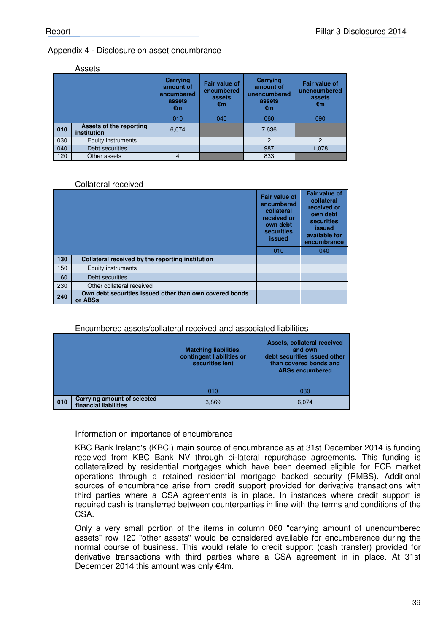#### Appendix 4 - Disclosure on asset encumbrance

#### Assets

|     |                                        | Carrying<br>amount of<br>encumbered<br>assets<br>€m | <b>Fair value of</b><br>encumbered<br>assets<br>€m | Carrying<br>amount of<br>unencumbered<br>assets<br>€m | <b>Fair value of</b><br>unencumbered<br>assets<br>€m |
|-----|----------------------------------------|-----------------------------------------------------|----------------------------------------------------|-------------------------------------------------------|------------------------------------------------------|
|     |                                        | 010                                                 | 040                                                | 060                                                   | 090                                                  |
| 010 | Assets of the reporting<br>institution | 6,074                                               |                                                    | 7,636                                                 |                                                      |
| 030 | Equity instruments                     |                                                     |                                                    | $\mathcal{P}$                                         | $\overline{2}$                                       |
| 040 | Debt securities                        |                                                     |                                                    | 987                                                   | 1,078                                                |
| 120 | Other assets                           | 4                                                   |                                                    | 833                                                   |                                                      |

#### Collateral received

|     |                                                                    | <b>Fair value of</b><br>encumbered<br>collateral<br>received or<br>own debt<br>securities<br>issued | <b>Fair value of</b><br>collateral<br>received or<br>own debt<br><b>securities</b><br>issued<br>available for<br>encumbrance |
|-----|--------------------------------------------------------------------|-----------------------------------------------------------------------------------------------------|------------------------------------------------------------------------------------------------------------------------------|
|     |                                                                    | 010                                                                                                 | 040                                                                                                                          |
| 130 | Collateral received by the reporting institution                   |                                                                                                     |                                                                                                                              |
| 150 | <b>Equity instruments</b>                                          |                                                                                                     |                                                                                                                              |
| 160 | Debt securities                                                    |                                                                                                     |                                                                                                                              |
| 230 | Other collateral received                                          |                                                                                                     |                                                                                                                              |
| 240 | Own debt securities issued other than own covered bonds<br>or ABSs |                                                                                                     |                                                                                                                              |

#### Encumbered assets/collateral received and associated liabilities

|     |                                                      | <b>Matching liabilities,</b><br>contingent liabilities or<br>securities lent | Assets, collateral received<br>and own<br>debt securities issued other<br>than covered bonds and<br><b>ABSs encumbered</b> |
|-----|------------------------------------------------------|------------------------------------------------------------------------------|----------------------------------------------------------------------------------------------------------------------------|
|     |                                                      | 010                                                                          | 030                                                                                                                        |
| 010 | Carrying amount of selected<br>financial liabilities | 3,869                                                                        | 6,074                                                                                                                      |

#### Information on importance of encumbrance

KBC Bank Ireland's (KBCI) main source of encumbrance as at 31st December 2014 is funding received from KBC Bank NV through bi-lateral repurchase agreements. This funding is collateralized by residential mortgages which have been deemed eligible for ECB market operations through a retained residential mortgage backed security (RMBS). Additional sources of encumbrance arise from credit support provided for derivative transactions with third parties where a CSA agreements is in place. In instances where credit support is required cash is transferred between counterparties in line with the terms and conditions of the CSA.

Only a very small portion of the items in column 060 "carrying amount of unencumbered assets" row 120 "other assets" would be considered available for encumberence during the normal course of business. This would relate to credit support (cash transfer) provided for derivative transactions with third parties where a CSA agreement in in place. At 31st December 2014 this amount was only €4m.